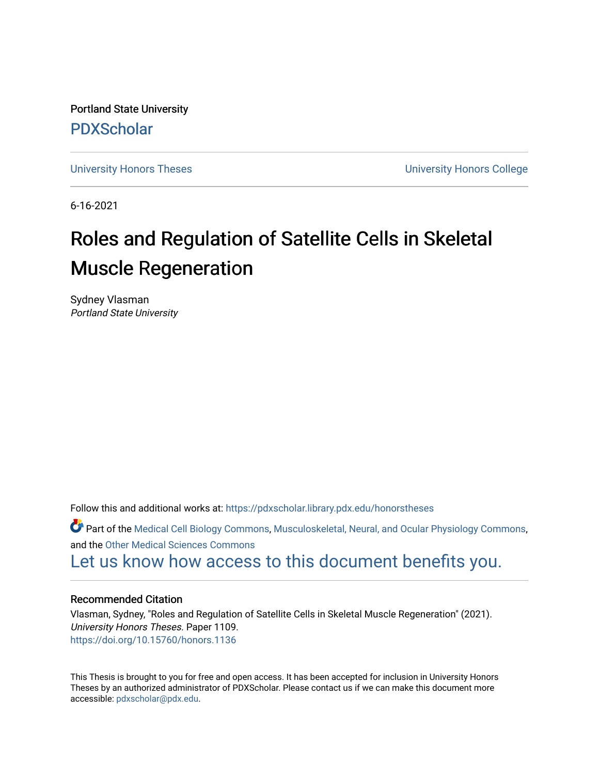Portland State University [PDXScholar](https://pdxscholar.library.pdx.edu/)

[University Honors Theses](https://pdxscholar.library.pdx.edu/honorstheses) **University Honors College** 

6-16-2021

# Roles and Regulation of Satellite Cells in Skeletal Muscle Regeneration

Sydney Vlasman Portland State University

Follow this and additional works at: [https://pdxscholar.library.pdx.edu/honorstheses](https://pdxscholar.library.pdx.edu/honorstheses?utm_source=pdxscholar.library.pdx.edu%2Fhonorstheses%2F1109&utm_medium=PDF&utm_campaign=PDFCoverPages) 

Part of the [Medical Cell Biology Commons](http://network.bepress.com/hgg/discipline/669?utm_source=pdxscholar.library.pdx.edu%2Fhonorstheses%2F1109&utm_medium=PDF&utm_campaign=PDFCoverPages), [Musculoskeletal, Neural, and Ocular Physiology Commons,](http://network.bepress.com/hgg/discipline/964?utm_source=pdxscholar.library.pdx.edu%2Fhonorstheses%2F1109&utm_medium=PDF&utm_campaign=PDFCoverPages) and the [Other Medical Sciences Commons](http://network.bepress.com/hgg/discipline/679?utm_source=pdxscholar.library.pdx.edu%2Fhonorstheses%2F1109&utm_medium=PDF&utm_campaign=PDFCoverPages) 

[Let us know how access to this document benefits you.](http://library.pdx.edu/services/pdxscholar-services/pdxscholar-feedback/) 

## Recommended Citation

Vlasman, Sydney, "Roles and Regulation of Satellite Cells in Skeletal Muscle Regeneration" (2021). University Honors Theses. Paper 1109. <https://doi.org/10.15760/honors.1136>

This Thesis is brought to you for free and open access. It has been accepted for inclusion in University Honors Theses by an authorized administrator of PDXScholar. Please contact us if we can make this document more accessible: [pdxscholar@pdx.edu.](mailto:pdxscholar@pdx.edu)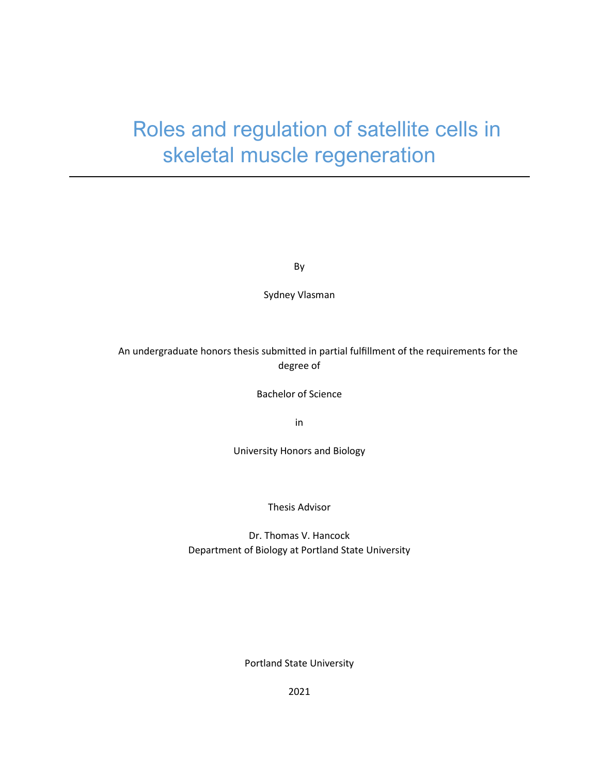# Roles and regulation of satellite cells in skeletal muscle regeneration

By

Sydney Vlasman

## An undergraduate honors thesis submitted in partial fulfillment of the requirements for the degree of

Bachelor of Science

in

University Honors and Biology

Thesis Advisor

Dr. Thomas V. Hancock Department of Biology at Portland State University

Portland State University

2021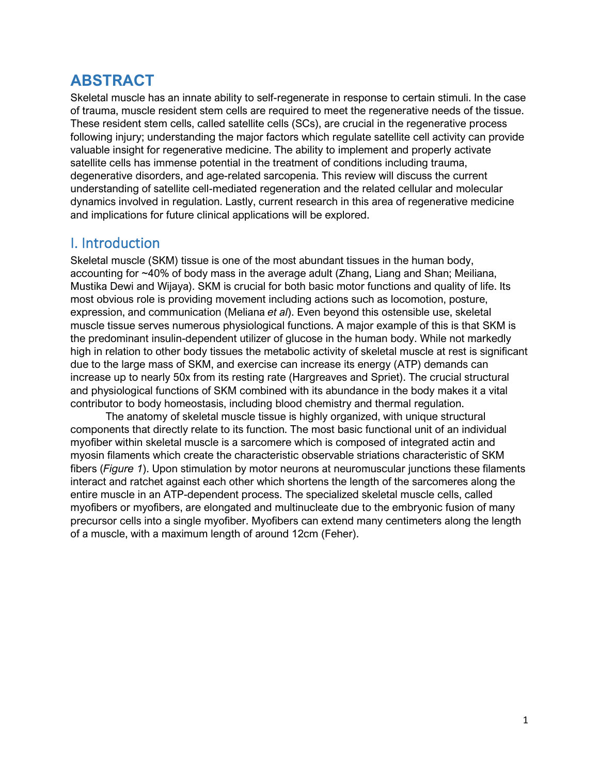# **ABSTRACT**

Skeletal muscle has an innate ability to self-regenerate in response to certain stimuli. In the case of trauma, muscle resident stem cells are required to meet the regenerative needs of the tissue. These resident stem cells, called satellite cells (SCs), are crucial in the regenerative process following injury; understanding the major factors which regulate satellite cell activity can provide valuable insight for regenerative medicine. The ability to implement and properly activate satellite cells has immense potential in the treatment of conditions including trauma, degenerative disorders, and age-related sarcopenia. This review will discuss the current understanding of satellite cell-mediated regeneration and the related cellular and molecular dynamics involved in regulation. Lastly, current research in this area of regenerative medicine and implications for future clinical applications will be explored.

## I. Introduction

Skeletal muscle (SKM) tissue is one of the most abundant tissues in the human body, accounting for ~40% of body mass in the average adult (Zhang, Liang and Shan; Meiliana, Mustika Dewi and Wijaya). SKM is crucial for both basic motor functions and quality of life. Its most obvious role is providing movement including actions such as locomotion, posture, expression, and communication (Meliana *et al*). Even beyond this ostensible use, skeletal muscle tissue serves numerous physiological functions. A major example of this is that SKM is the predominant insulin-dependent utilizer of glucose in the human body. While not markedly high in relation to other body tissues the metabolic activity of skeletal muscle at rest is significant due to the large mass of SKM, and exercise can increase its energy (ATP) demands can increase up to nearly 50x from its resting rate (Hargreaves and Spriet). The crucial structural and physiological functions of SKM combined with its abundance in the body makes it a vital contributor to body homeostasis, including blood chemistry and thermal regulation.

The anatomy of skeletal muscle tissue is highly organized, with unique structural components that directly relate to its function. The most basic functional unit of an individual myofiber within skeletal muscle is a sarcomere which is composed of integrated actin and myosin filaments which create the characteristic observable striations characteristic of SKM fibers (*Figure 1*). Upon stimulation by motor neurons at neuromuscular junctions these filaments interact and ratchet against each other which shortens the length of the sarcomeres along the entire muscle in an ATP-dependent process. The specialized skeletal muscle cells, called myofibers or myofibers, are elongated and multinucleate due to the embryonic fusion of many precursor cells into a single myofiber. Myofibers can extend many centimeters along the length of a muscle, with a maximum length of around 12cm (Feher).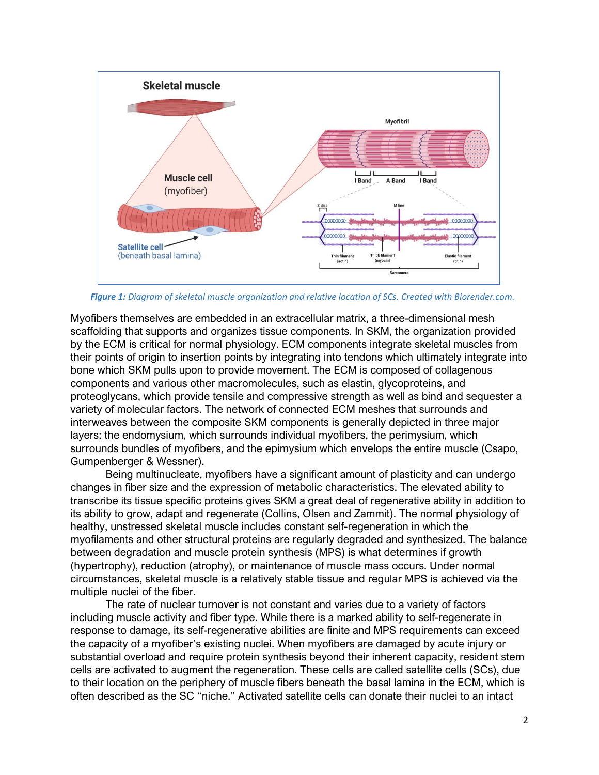

 *Figure 1: Diagram of skeletal muscle organization and relative location of SCs. Created with Biorender.com.*

Myofibers themselves are embedded in an extracellular matrix, a three-dimensional mesh scaffolding that supports and organizes tissue components. In SKM, the organization provided by the ECM is critical for normal physiology. ECM components integrate skeletal muscles from their points of origin to insertion points by integrating into tendons which ultimately integrate into bone which SKM pulls upon to provide movement. The ECM is composed of collagenous components and various other macromolecules, such as elastin, glycoproteins, and proteoglycans, which provide tensile and compressive strength as well as bind and sequester a variety of molecular factors. The network of connected ECM meshes that surrounds and interweaves between the composite SKM components is generally depicted in three major layers: the endomysium, which surrounds individual myofibers, the perimysium, which surrounds bundles of myofibers, and the epimysium which envelops the entire muscle (Csapo, Gumpenberger & Wessner).

Being multinucleate, myofibers have a significant amount of plasticity and can undergo changes in fiber size and the expression of metabolic characteristics. The elevated ability to transcribe its tissue specific proteins gives SKM a great deal of regenerative ability in addition to its ability to grow, adapt and regenerate (Collins, Olsen and Zammit). The normal physiology of healthy, unstressed skeletal muscle includes constant self-regeneration in which the myofilaments and other structural proteins are regularly degraded and synthesized. The balance between degradation and muscle protein synthesis (MPS) is what determines if growth (hypertrophy), reduction (atrophy), or maintenance of muscle mass occurs. Under normal circumstances, skeletal muscle is a relatively stable tissue and regular MPS is achieved via the multiple nuclei of the fiber.

The rate of nuclear turnover is not constant and varies due to a variety of factors including muscle activity and fiber type. While there is a marked ability to self-regenerate in response to damage, its self-regenerative abilities are finite and MPS requirements can exceed the capacity of a myofiber's existing nuclei. When myofibers are damaged by acute injury or substantial overload and require protein synthesis beyond their inherent capacity, resident stem cells are activated to augment the regeneration. These cells are called satellite cells (SCs), due to their location on the periphery of muscle fibers beneath the basal lamina in the ECM, which is often described as the SC "niche." Activated satellite cells can donate their nuclei to an intact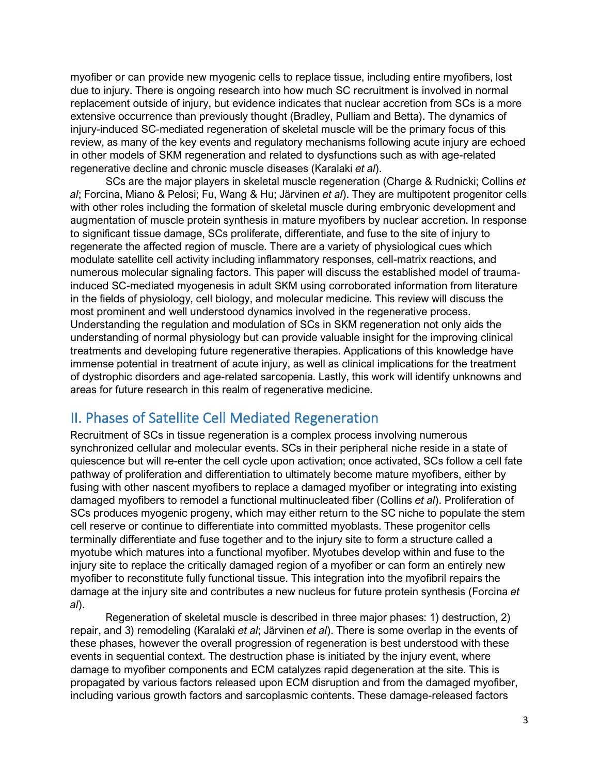myofiber or can provide new myogenic cells to replace tissue, including entire myofibers, lost due to injury. There is ongoing research into how much SC recruitment is involved in normal replacement outside of injury, but evidence indicates that nuclear accretion from SCs is a more extensive occurrence than previously thought (Bradley, Pulliam and Betta). The dynamics of injury-induced SC-mediated regeneration of skeletal muscle will be the primary focus of this review, as many of the key events and regulatory mechanisms following acute injury are echoed in other models of SKM regeneration and related to dysfunctions such as with age-related regenerative decline and chronic muscle diseases (Karalaki *et al*).

SCs are the major players in skeletal muscle regeneration (Charge & Rudnicki; Collins *et al*; Forcina, Miano & Pelosi; Fu, Wang & Hu; Järvinen *et al*). They are multipotent progenitor cells with other roles including the formation of skeletal muscle during embryonic development and augmentation of muscle protein synthesis in mature myofibers by nuclear accretion. In response to significant tissue damage, SCs proliferate, differentiate, and fuse to the site of injury to regenerate the affected region of muscle. There are a variety of physiological cues which modulate satellite cell activity including inflammatory responses, cell-matrix reactions, and numerous molecular signaling factors. This paper will discuss the established model of traumainduced SC-mediated myogenesis in adult SKM using corroborated information from literature in the fields of physiology, cell biology, and molecular medicine. This review will discuss the most prominent and well understood dynamics involved in the regenerative process. Understanding the regulation and modulation of SCs in SKM regeneration not only aids the understanding of normal physiology but can provide valuable insight for the improving clinical treatments and developing future regenerative therapies. Applications of this knowledge have immense potential in treatment of acute injury, as well as clinical implications for the treatment of dystrophic disorders and age-related sarcopenia. Lastly, this work will identify unknowns and areas for future research in this realm of regenerative medicine.

## II. Phases of Satellite Cell Mediated Regeneration

Recruitment of SCs in tissue regeneration is a complex process involving numerous synchronized cellular and molecular events. SCs in their peripheral niche reside in a state of quiescence but will re-enter the cell cycle upon activation; once activated, SCs follow a cell fate pathway of proliferation and differentiation to ultimately become mature myofibers, either by fusing with other nascent myofibers to replace a damaged myofiber or integrating into existing damaged myofibers to remodel a functional multinucleated fiber (Collins *et al*). Proliferation of SCs produces myogenic progeny, which may either return to the SC niche to populate the stem cell reserve or continue to differentiate into committed myoblasts. These progenitor cells terminally differentiate and fuse together and to the injury site to form a structure called a myotube which matures into a functional myofiber. Myotubes develop within and fuse to the injury site to replace the critically damaged region of a myofiber or can form an entirely new myofiber to reconstitute fully functional tissue. This integration into the myofibril repairs the damage at the injury site and contributes a new nucleus for future protein synthesis (Forcina *et al*).

Regeneration of skeletal muscle is described in three major phases: 1) destruction, 2) repair, and 3) remodeling (Karalaki *et al*; Järvinen *et al*). There is some overlap in the events of these phases, however the overall progression of regeneration is best understood with these events in sequential context. The destruction phase is initiated by the injury event, where damage to myofiber components and ECM catalyzes rapid degeneration at the site. This is propagated by various factors released upon ECM disruption and from the damaged myofiber, including various growth factors and sarcoplasmic contents. These damage-released factors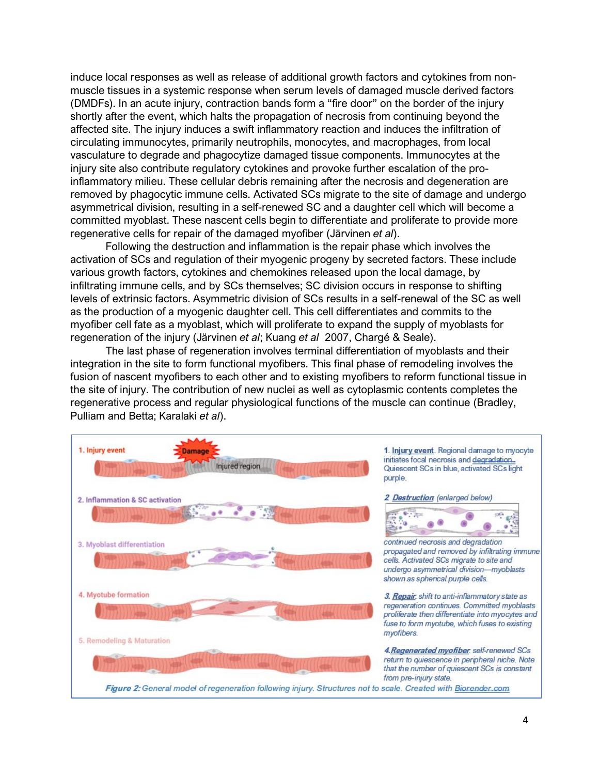induce local responses as well as release of additional growth factors and cytokines from nonmuscle tissues in a systemic response when serum levels of damaged muscle derived factors (DMDFs). In an acute injury, contraction bands form a "fire door" on the border of the injury shortly after the event, which halts the propagation of necrosis from continuing beyond the affected site. The injury induces a swift inflammatory reaction and induces the infiltration of circulating immunocytes, primarily neutrophils, monocytes, and macrophages, from local vasculature to degrade and phagocytize damaged tissue components. Immunocytes at the injury site also contribute regulatory cytokines and provoke further escalation of the proinflammatory milieu. These cellular debris remaining after the necrosis and degeneration are removed by phagocytic immune cells. Activated SCs migrate to the site of damage and undergo asymmetrical division, resulting in a self-renewed SC and a daughter cell which will become a committed myoblast. These nascent cells begin to differentiate and proliferate to provide more regenerative cells for repair of the damaged myofiber (Järvinen *et al*).

Following the destruction and inflammation is the repair phase which involves the activation of SCs and regulation of their myogenic progeny by secreted factors. These include various growth factors, cytokines and chemokines released upon the local damage, by infiltrating immune cells, and by SCs themselves; SC division occurs in response to shifting levels of extrinsic factors. Asymmetric division of SCs results in a self-renewal of the SC as well as the production of a myogenic daughter cell. This cell differentiates and commits to the myofiber cell fate as a myoblast, which will proliferate to expand the supply of myoblasts for regeneration of the injury (Järvinen *et al*; Kuang *et al* 2007, Chargé & Seale).

The last phase of regeneration involves terminal differentiation of myoblasts and their integration in the site to form functional myofibers. This final phase of remodeling involves the fusion of nascent myofibers to each other and to existing myofibers to reform functional tissue in the site of injury. The contribution of new nuclei as well as cytoplasmic contents completes the regenerative process and regular physiological functions of the muscle can continue (Bradley, Pulliam and Betta; Karalaki *et al*).

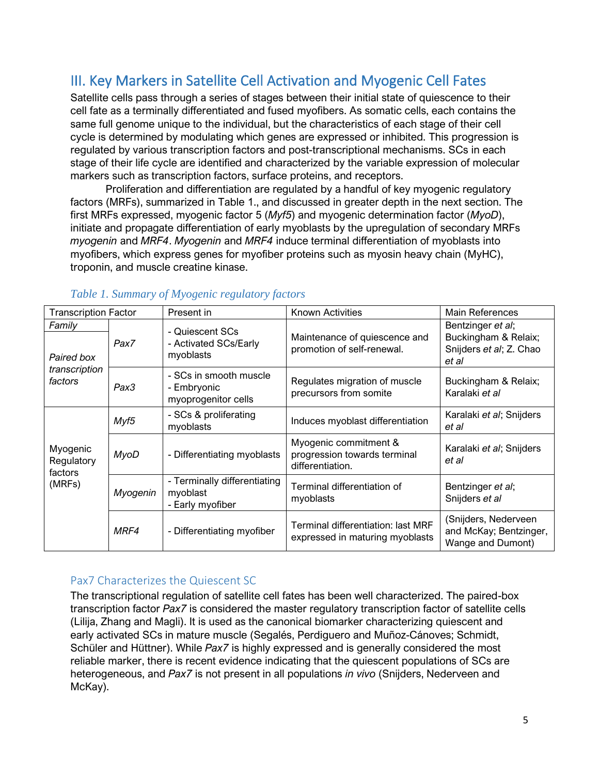# III. Key Markers in Satellite Cell Activation and Myogenic Cell Fates

Satellite cells pass through a series of stages between their initial state of quiescence to their cell fate as a terminally differentiated and fused myofibers. As somatic cells, each contains the same full genome unique to the individual, but the characteristics of each stage of their cell cycle is determined by modulating which genes are expressed or inhibited. This progression is regulated by various transcription factors and post-transcriptional mechanisms. SCs in each stage of their life cycle are identified and characterized by the variable expression of molecular markers such as transcription factors, surface proteins, and receptors.

Proliferation and differentiation are regulated by a handful of key myogenic regulatory factors (MRFs), summarized in Table 1., and discussed in greater depth in the next section. The first MRFs expressed, myogenic factor 5 (*Myf5*) and myogenic determination factor (*MyoD*), initiate and propagate differentiation of early myoblasts by the upregulation of secondary MRFs *myogenin* and *MRF4*. *Myogenin* and *MRF4* induce terminal differentiation of myoblasts into myofibers, which express genes for myofiber proteins such as myosin heavy chain (MyHC), troponin, and muscle creatine kinase.

| <b>Transcription Factor</b>                      |             | Present in                                                   | <b>Known Activities</b>                                                   | Main References                                                               |
|--------------------------------------------------|-------------|--------------------------------------------------------------|---------------------------------------------------------------------------|-------------------------------------------------------------------------------|
| Family<br>Paired box<br>transcription<br>factors | Pax7        | - Quiescent SCs<br>- Activated SCs/Early<br>myoblasts        | Maintenance of quiescence and<br>promotion of self-renewal.               | Bentzinger et al;<br>Buckingham & Relaix;<br>Snijders et al; Z. Chao<br>et al |
|                                                  | Pax3        | - SCs in smooth muscle<br>- Embryonic<br>myoprogenitor cells | Regulates migration of muscle<br>precursors from somite                   | Buckingham & Relaix;<br>Karalaki et al                                        |
| Myogenic<br>Regulatory<br>factors<br>(MRFs)      | Myf5        | - SCs & proliferating<br>myoblasts                           | Induces myoblast differentiation                                          | Karalaki et al; Snijders<br>et al                                             |
|                                                  | <b>MyoD</b> | - Differentiating myoblasts                                  | Myogenic commitment &<br>progression towards terminal<br>differentiation. | Karalaki et al; Snijders<br>et al                                             |
|                                                  | Myogenin    | - Terminally differentiating<br>myoblast<br>- Early myofiber | Terminal differentiation of<br>myoblasts                                  | Bentzinger et al;<br>Snijders et al                                           |
|                                                  | MRF4        | - Differentiating myofiber                                   | Terminal differentiation: last MRF<br>expressed in maturing myoblasts     | (Snijders, Nederveen<br>and McKay; Bentzinger,<br>Wange and Dumont)           |

## *Table 1. Summary of Myogenic regulatory factors*

## Pax7 Characterizes the Quiescent SC

The transcriptional regulation of satellite cell fates has been well characterized. The paired-box transcription factor *Pax7* is considered the master regulatory transcription factor of satellite cells (Lilija, Zhang and Magli). It is used as the canonical biomarker characterizing quiescent and early activated SCs in mature muscle (Segalés, Perdiguero and Muñoz-Cánoves; Schmidt, Schüler and Hüttner). While *Pax7* is highly expressed and is generally considered the most reliable marker, there is recent evidence indicating that the quiescent populations of SCs are heterogeneous, and *Pax7* is not present in all populations *in vivo* (Snijders, Nederveen and McKay).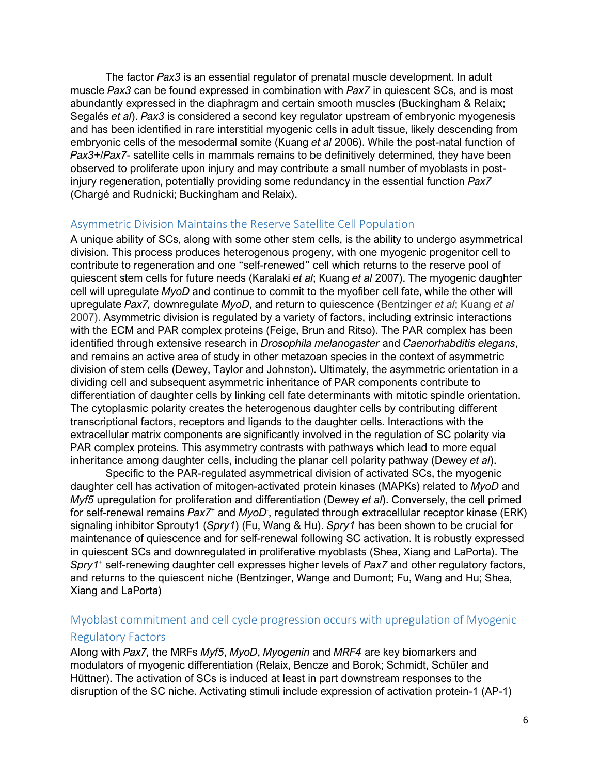The factor *Pax3* is an essential regulator of prenatal muscle development. In adult muscle *Pax3* can be found expressed in combination with *Pax7* in quiescent SCs, and is most abundantly expressed in the diaphragm and certain smooth muscles (Buckingham & Relaix; Segalés *et al*). *Pax3* is considered a second key regulator upstream of embryonic myogenesis and has been identified in rare interstitial myogenic cells in adult tissue, likely descending from embryonic cells of the mesodermal somite (Kuang *et al* 2006). While the post-natal function of *Pax3*+/*Pax7*- satellite cells in mammals remains to be definitively determined, they have been observed to proliferate upon injury and may contribute a small number of myoblasts in postinjury regeneration, potentially providing some redundancy in the essential function *Pax7* (Chargé and Rudnicki; Buckingham and Relaix).

#### Asymmetric Division Maintains the Reserve Satellite Cell Population

A unique ability of SCs, along with some other stem cells, is the ability to undergo asymmetrical division. This process produces heterogenous progeny, with one myogenic progenitor cell to contribute to regeneration and one "self-renewed" cell which returns to the reserve pool of quiescent stem cells for future needs (Karalaki *et al*; Kuang *et al* 2007). The myogenic daughter cell will upregulate *MyoD* and continue to commit to the myofiber cell fate, while the other will upregulate *Pax7,* downregulate *MyoD*, and return to quiescence (Bentzinger *et al*; Kuang *et al* 2007). Asymmetric division is regulated by a variety of factors, including extrinsic interactions with the ECM and PAR complex proteins (Feige, Brun and Ritso). The PAR complex has been identified through extensive research in *Drosophila melanogaster* and *Caenorhabditis elegans*, and remains an active area of study in other metazoan species in the context of asymmetric division of stem cells (Dewey, Taylor and Johnston). Ultimately, the asymmetric orientation in a dividing cell and subsequent asymmetric inheritance of PAR components contribute to differentiation of daughter cells by linking cell fate determinants with mitotic spindle orientation. The cytoplasmic polarity creates the heterogenous daughter cells by contributing different transcriptional factors, receptors and ligands to the daughter cells. Interactions with the extracellular matrix components are significantly involved in the regulation of SC polarity via PAR complex proteins. This asymmetry contrasts with pathways which lead to more equal inheritance among daughter cells, including the planar cell polarity pathway (Dewey *et al*).

Specific to the PAR-regulated asymmetrical division of activated SCs, the myogenic daughter cell has activation of mitogen-activated protein kinases (MAPKs) related to *MyoD* and *Myf5* upregulation for proliferation and differentiation (Dewey *et al*). Conversely, the cell primed for self-renewal remains *Pax7*<sup>+</sup> and *MyoD*- , regulated through extracellular receptor kinase (ERK) signaling inhibitor Sprouty1 (*Spry1*) (Fu, Wang & Hu). *Spry1* has been shown to be crucial for maintenance of quiescence and for self-renewal following SC activation. It is robustly expressed in quiescent SCs and downregulated in proliferative myoblasts (Shea, Xiang and LaPorta). The *Spry1*<sup>+</sup> self-renewing daughter cell expresses higher levels of *Pax7* and other regulatory factors, and returns to the quiescent niche (Bentzinger, Wange and Dumont; Fu, Wang and Hu; Shea, Xiang and LaPorta)

## Myoblast commitment and cell cycle progression occurs with upregulation of Myogenic Regulatory Factors

Along with *Pax7,* the MRFs *Myf5*, *MyoD*, *Myogenin* and *MRF4* are key biomarkers and modulators of myogenic differentiation (Relaix, Bencze and Borok; Schmidt, Schüler and Hüttner). The activation of SCs is induced at least in part downstream responses to the disruption of the SC niche. Activating stimuli include expression of activation protein-1 (AP-1)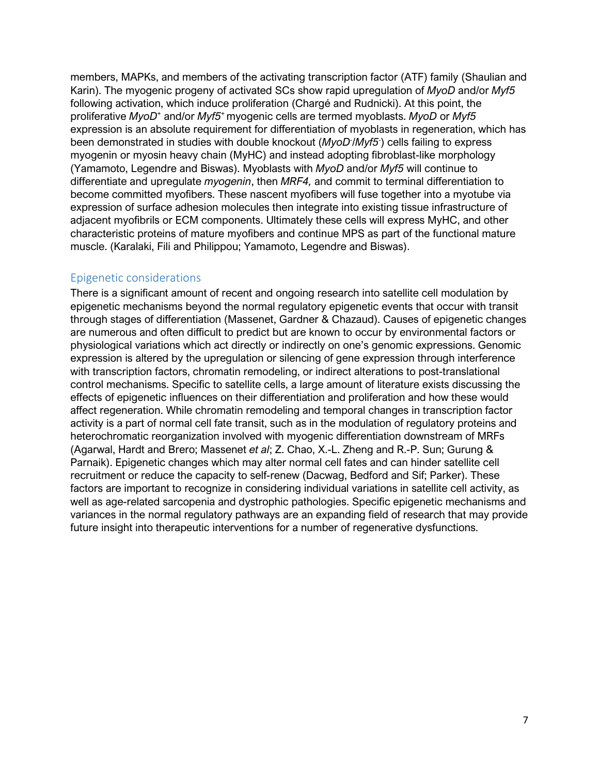members, MAPKs, and members of the activating transcription factor (ATF) family (Shaulian and Karin). The myogenic progeny of activated SCs show rapid upregulation of *MyoD* and/or *Myf5* following activation, which induce proliferation (Chargé and Rudnicki). At this point, the proliferative *MyoD*<sup>+</sup> and/or *Myf5*<sup>+</sup>myogenic cells are termed myoblasts. *MyoD* or *Myf5* expression is an absolute requirement for differentiation of myoblasts in regeneration, which has been demonstrated in studies with double knockout (*MyoD*- /*Myf5*- ) cells failing to express myogenin or myosin heavy chain (MyHC) and instead adopting fibroblast-like morphology (Yamamoto, Legendre and Biswas). Myoblasts with *MyoD* and/or *Myf5* will continue to differentiate and upregulate *myogenin*, then *MRF4,* and commit to terminal differentiation to become committed myofibers. These nascent myofibers will fuse together into a myotube via expression of surface adhesion molecules then integrate into existing tissue infrastructure of adjacent myofibrils or ECM components. Ultimately these cells will express MyHC, and other characteristic proteins of mature myofibers and continue MPS as part of the functional mature muscle. (Karalaki, Fili and Philippou; Yamamoto, Legendre and Biswas).

#### Epigenetic considerations

There is a significant amount of recent and ongoing research into satellite cell modulation by epigenetic mechanisms beyond the normal regulatory epigenetic events that occur with transit through stages of differentiation (Massenet, Gardner & Chazaud). Causes of epigenetic changes are numerous and often difficult to predict but are known to occur by environmental factors or physiological variations which act directly or indirectly on one's genomic expressions. Genomic expression is altered by the upregulation or silencing of gene expression through interference with transcription factors, chromatin remodeling, or indirect alterations to post-translational control mechanisms. Specific to satellite cells, a large amount of literature exists discussing the effects of epigenetic influences on their differentiation and proliferation and how these would affect regeneration. While chromatin remodeling and temporal changes in transcription factor activity is a part of normal cell fate transit, such as in the modulation of regulatory proteins and heterochromatic reorganization involved with myogenic differentiation downstream of MRFs (Agarwal, Hardt and Brero; Massenet *et al*; Z. Chao, X.-L. Zheng and R.-P. Sun; Gurung & Parnaik). Epigenetic changes which may alter normal cell fates and can hinder satellite cell recruitment or reduce the capacity to self-renew (Dacwag, Bedford and Sif; Parker). These factors are important to recognize in considering individual variations in satellite cell activity, as well as age-related sarcopenia and dystrophic pathologies. Specific epigenetic mechanisms and variances in the normal regulatory pathways are an expanding field of research that may provide future insight into therapeutic interventions for a number of regenerative dysfunctions.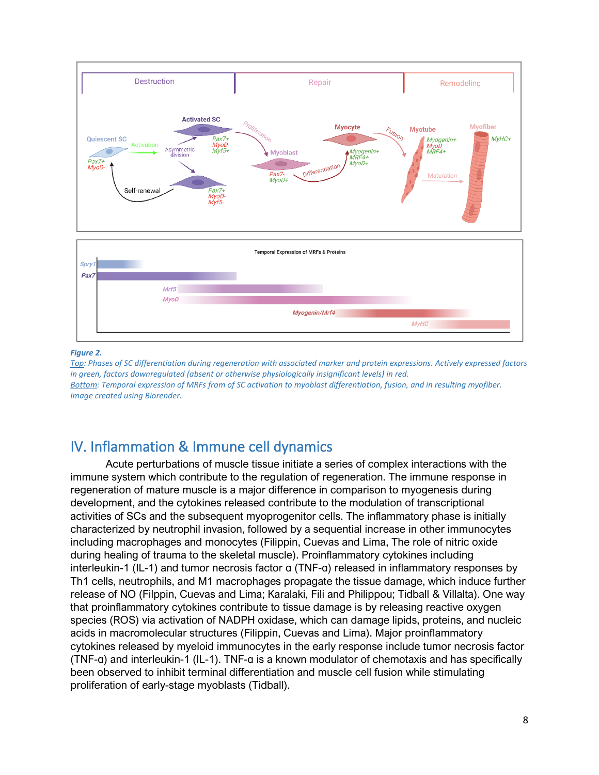

#### *Figure 2.*

*Top: Phases of SC differentiation during regeneration with associated marker and protein expressions. Actively expressed factors in green, factors downregulated (absent or otherwise physiologically insignificant levels) in red. Bottom: Temporal expression of MRFs from of SC activation to myoblast differentiation, fusion, and in resulting myofiber. Image created using Biorender.*

## IV. Inflammation & Immune cell dynamics

Acute perturbations of muscle tissue initiate a series of complex interactions with the immune system which contribute to the regulation of regeneration. The immune response in regeneration of mature muscle is a major difference in comparison to myogenesis during development, and the cytokines released contribute to the modulation of transcriptional activities of SCs and the subsequent myoprogenitor cells. The inflammatory phase is initially characterized by neutrophil invasion, followed by a sequential increase in other immunocytes including macrophages and monocytes (Filippin, Cuevas and Lima, The role of nitric oxide during healing of trauma to the skeletal muscle). Proinflammatory cytokines including interleukin-1 (IL-1) and tumor necrosis factor ɑ (TNF-ɑ) released in inflammatory responses by Th1 cells, neutrophils, and M1 macrophages propagate the tissue damage, which induce further release of NO (Filppin, Cuevas and Lima; Karalaki, Fili and Philippou; Tidball & Villalta). One way that proinflammatory cytokines contribute to tissue damage is by releasing reactive oxygen species (ROS) via activation of NADPH oxidase, which can damage lipids, proteins, and nucleic acids in macromolecular structures (Filippin, Cuevas and Lima). Major proinflammatory cytokines released by myeloid immunocytes in the early response include tumor necrosis factor (TNF-ɑ) and interleukin-1 (IL-1). TNF-ɑ is a known modulator of chemotaxis and has specifically been observed to inhibit terminal differentiation and muscle cell fusion while stimulating proliferation of early-stage myoblasts (Tidball).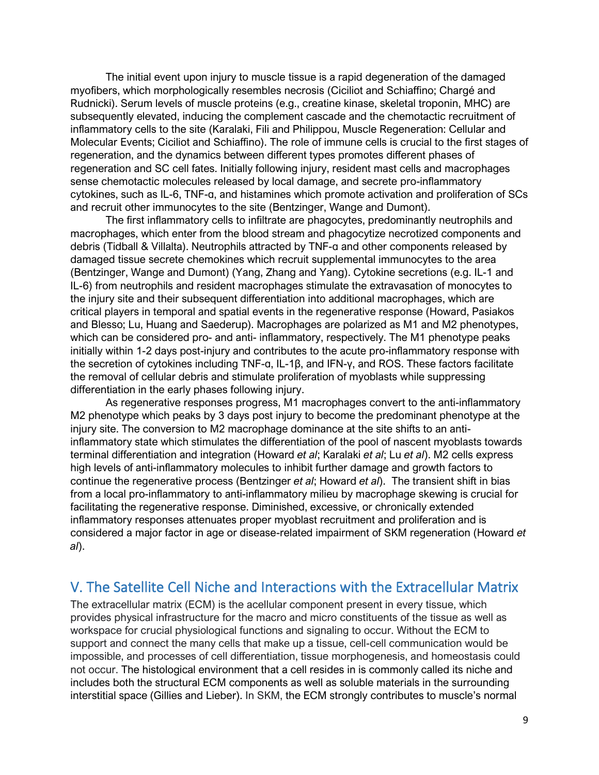The initial event upon injury to muscle tissue is a rapid degeneration of the damaged myofibers, which morphologically resembles necrosis (Ciciliot and Schiaffino; Chargé and Rudnicki). Serum levels of muscle proteins (e.g., creatine kinase, skeletal troponin, MHC) are subsequently elevated, inducing the complement cascade and the chemotactic recruitment of inflammatory cells to the site (Karalaki, Fili and Philippou, Muscle Regeneration: Cellular and Molecular Events; Ciciliot and Schiaffino). The role of immune cells is crucial to the first stages of regeneration, and the dynamics between different types promotes different phases of regeneration and SC cell fates. Initially following injury, resident mast cells and macrophages sense chemotactic molecules released by local damage, and secrete pro-inflammatory cytokines, such as IL-6, TNF-ɑ, and histamines which promote activation and proliferation of SCs and recruit other immunocytes to the site (Bentzinger, Wange and Dumont).

The first inflammatory cells to infiltrate are phagocytes, predominantly neutrophils and macrophages, which enter from the blood stream and phagocytize necrotized components and debris (Tidball & Villalta). Neutrophils attracted by TNF-ɑ and other components released by damaged tissue secrete chemokines which recruit supplemental immunocytes to the area (Bentzinger, Wange and Dumont) (Yang, Zhang and Yang). Cytokine secretions (e.g. IL-1 and IL-6) from neutrophils and resident macrophages stimulate the extravasation of monocytes to the injury site and their subsequent differentiation into additional macrophages, which are critical players in temporal and spatial events in the regenerative response (Howard, Pasiakos and Blesso; Lu, Huang and Saederup). Macrophages are polarized as M1 and M2 phenotypes, which can be considered pro- and anti- inflammatory, respectively. The M1 phenotype peaks initially within 1-2 days post-injury and contributes to the acute pro-inflammatory response with the secretion of cytokines including TNF-ɑ, IL-1β, and IFN-γ, and ROS. These factors facilitate the removal of cellular debris and stimulate proliferation of myoblasts while suppressing differentiation in the early phases following injury.

As regenerative responses progress, M1 macrophages convert to the anti-inflammatory M2 phenotype which peaks by 3 days post injury to become the predominant phenotype at the injury site. The conversion to M2 macrophage dominance at the site shifts to an antiinflammatory state which stimulates the differentiation of the pool of nascent myoblasts towards terminal differentiation and integration (Howard *et al*; Karalaki *et al*; Lu *et al*). M2 cells express high levels of anti-inflammatory molecules to inhibit further damage and growth factors to continue the regenerative process (Bentzinger *et al*; Howard *et al*). The transient shift in bias from a local pro-inflammatory to anti-inflammatory milieu by macrophage skewing is crucial for facilitating the regenerative response. Diminished, excessive, or chronically extended inflammatory responses attenuates proper myoblast recruitment and proliferation and is considered a major factor in age or disease-related impairment of SKM regeneration (Howard *et al*).

## V. The Satellite Cell Niche and Interactions with the Extracellular Matrix

The extracellular matrix (ECM) is the acellular component present in every tissue, which provides physical infrastructure for the macro and micro constituents of the tissue as well as workspace for crucial physiological functions and signaling to occur. Without the ECM to support and connect the many cells that make up a tissue, cell-cell communication would be impossible, and processes of cell differentiation, tissue morphogenesis, and homeostasis could not occur. The histological environment that a cell resides in is commonly called its niche and includes both the structural ECM components as well as soluble materials in the surrounding interstitial space (Gillies and Lieber). In SKM, the ECM strongly contributes to muscle's normal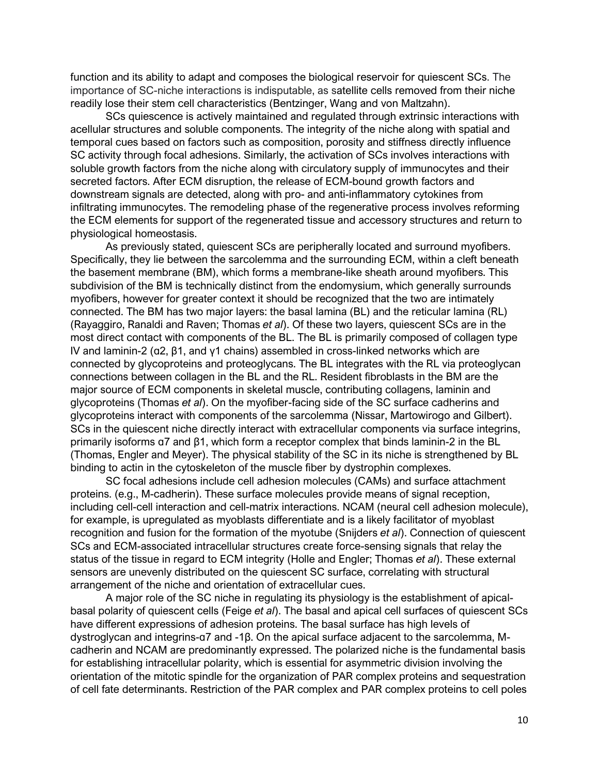function and its ability to adapt and composes the biological reservoir for quiescent SCs. The importance of SC-niche interactions is indisputable, as satellite cells removed from their niche readily lose their stem cell characteristics (Bentzinger, Wang and von Maltzahn).

SCs quiescence is actively maintained and regulated through extrinsic interactions with acellular structures and soluble components. The integrity of the niche along with spatial and temporal cues based on factors such as composition, porosity and stiffness directly influence SC activity through focal adhesions. Similarly, the activation of SCs involves interactions with soluble growth factors from the niche along with circulatory supply of immunocytes and their secreted factors. After ECM disruption, the release of ECM-bound growth factors and downstream signals are detected, along with pro- and anti-inflammatory cytokines from infiltrating immunocytes. The remodeling phase of the regenerative process involves reforming the ECM elements for support of the regenerated tissue and accessory structures and return to physiological homeostasis.

As previously stated, quiescent SCs are peripherally located and surround myofibers. Specifically, they lie between the sarcolemma and the surrounding ECM, within a cleft beneath the basement membrane (BM), which forms a membrane-like sheath around myofibers. This subdivision of the BM is technically distinct from the endomysium, which generally surrounds myofibers, however for greater context it should be recognized that the two are intimately connected. The BM has two major layers: the basal lamina (BL) and the reticular lamina (RL) (Rayaggiro, Ranaldi and Raven; Thomas *et al*). Of these two layers, quiescent SCs are in the most direct contact with components of the BL. The BL is primarily composed of collagen type IV and laminin-2 (ɑ2, β1, and γ1 chains) assembled in cross-linked networks which are connected by glycoproteins and proteoglycans. The BL integrates with the RL via proteoglycan connections between collagen in the BL and the RL. Resident fibroblasts in the BM are the major source of ECM components in skeletal muscle, contributing collagens, laminin and glycoproteins (Thomas *et al*). On the myofiber-facing side of the SC surface cadherins and glycoproteins interact with components of the sarcolemma (Nissar, Martowirogo and Gilbert). SCs in the quiescent niche directly interact with extracellular components via surface integrins, primarily isoforms ɑ7 and β1, which form a receptor complex that binds laminin-2 in the BL (Thomas, Engler and Meyer). The physical stability of the SC in its niche is strengthened by BL binding to actin in the cytoskeleton of the muscle fiber by dystrophin complexes.

SC focal adhesions include cell adhesion molecules (CAMs) and surface attachment proteins. (e.g., M-cadherin). These surface molecules provide means of signal reception, including cell-cell interaction and cell-matrix interactions. NCAM (neural cell adhesion molecule), for example, is upregulated as myoblasts differentiate and is a likely facilitator of myoblast recognition and fusion for the formation of the myotube (Snijders *et al*). Connection of quiescent SCs and ECM-associated intracellular structures create force-sensing signals that relay the status of the tissue in regard to ECM integrity (Holle and Engler; Thomas *et al*). These external sensors are unevenly distributed on the quiescent SC surface, correlating with structural arrangement of the niche and orientation of extracellular cues.

A major role of the SC niche in regulating its physiology is the establishment of apicalbasal polarity of quiescent cells (Feige *et al*). The basal and apical cell surfaces of quiescent SCs have different expressions of adhesion proteins. The basal surface has high levels of dystroglycan and integrins-ɑ7 and -1β. On the apical surface adjacent to the sarcolemma, Mcadherin and NCAM are predominantly expressed. The polarized niche is the fundamental basis for establishing intracellular polarity, which is essential for asymmetric division involving the orientation of the mitotic spindle for the organization of PAR complex proteins and sequestration of cell fate determinants. Restriction of the PAR complex and PAR complex proteins to cell poles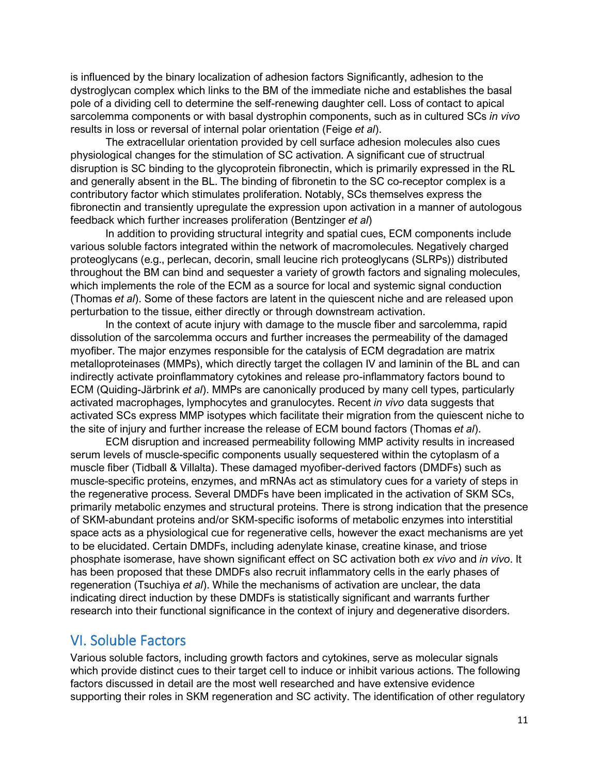is influenced by the binary localization of adhesion factors Significantly, adhesion to the dystroglycan complex which links to the BM of the immediate niche and establishes the basal pole of a dividing cell to determine the self-renewing daughter cell. Loss of contact to apical sarcolemma components or with basal dystrophin components, such as in cultured SCs *in vivo* results in loss or reversal of internal polar orientation (Feige *et al*).

The extracellular orientation provided by cell surface adhesion molecules also cues physiological changes for the stimulation of SC activation. A significant cue of structrual disruption is SC binding to the glycoprotein fibronectin, which is primarily expressed in the RL and generally absent in the BL. The binding of fibronetin to the SC co-receptor complex is a contributory factor which stimulates proliferation. Notably, SCs themselves express the fibronectin and transiently upregulate the expression upon activation in a manner of autologous feedback which further increases proliferation (Bentzinger *et al*)

In addition to providing structural integrity and spatial cues, ECM components include various soluble factors integrated within the network of macromolecules. Negatively charged proteoglycans (e.g., perlecan, decorin, small leucine rich proteoglycans (SLRPs)) distributed throughout the BM can bind and sequester a variety of growth factors and signaling molecules, which implements the role of the ECM as a source for local and systemic signal conduction (Thomas *et al*). Some of these factors are latent in the quiescent niche and are released upon perturbation to the tissue, either directly or through downstream activation.

In the context of acute injury with damage to the muscle fiber and sarcolemma, rapid dissolution of the sarcolemma occurs and further increases the permeability of the damaged myofiber. The major enzymes responsible for the catalysis of ECM degradation are matrix metalloproteinases (MMPs), which directly target the collagen IV and laminin of the BL and can indirectly activate proinflammatory cytokines and release pro-inflammatory factors bound to ECM (Quiding-Järbrink *et al*). MMPs are canonically produced by many cell types, particularly activated macrophages, lymphocytes and granulocytes. Recent *in vivo* data suggests that activated SCs express MMP isotypes which facilitate their migration from the quiescent niche to the site of injury and further increase the release of ECM bound factors (Thomas *et al*).

ECM disruption and increased permeability following MMP activity results in increased serum levels of muscle-specific components usually sequestered within the cytoplasm of a muscle fiber (Tidball & Villalta). These damaged myofiber-derived factors (DMDFs) such as muscle-specific proteins, enzymes, and mRNAs act as stimulatory cues for a variety of steps in the regenerative process. Several DMDFs have been implicated in the activation of SKM SCs, primarily metabolic enzymes and structural proteins. There is strong indication that the presence of SKM-abundant proteins and/or SKM-specific isoforms of metabolic enzymes into interstitial space acts as a physiological cue for regenerative cells, however the exact mechanisms are yet to be elucidated. Certain DMDFs, including adenylate kinase, creatine kinase, and triose phosphate isomerase, have shown significant effect on SC activation both *ex vivo* and *in vivo*. It has been proposed that these DMDFs also recruit inflammatory cells in the early phases of regeneration (Tsuchiya *et al*). While the mechanisms of activation are unclear, the data indicating direct induction by these DMDFs is statistically significant and warrants further research into their functional significance in the context of injury and degenerative disorders.

## VI. Soluble Factors

Various soluble factors, including growth factors and cytokines, serve as molecular signals which provide distinct cues to their target cell to induce or inhibit various actions. The following factors discussed in detail are the most well researched and have extensive evidence supporting their roles in SKM regeneration and SC activity. The identification of other regulatory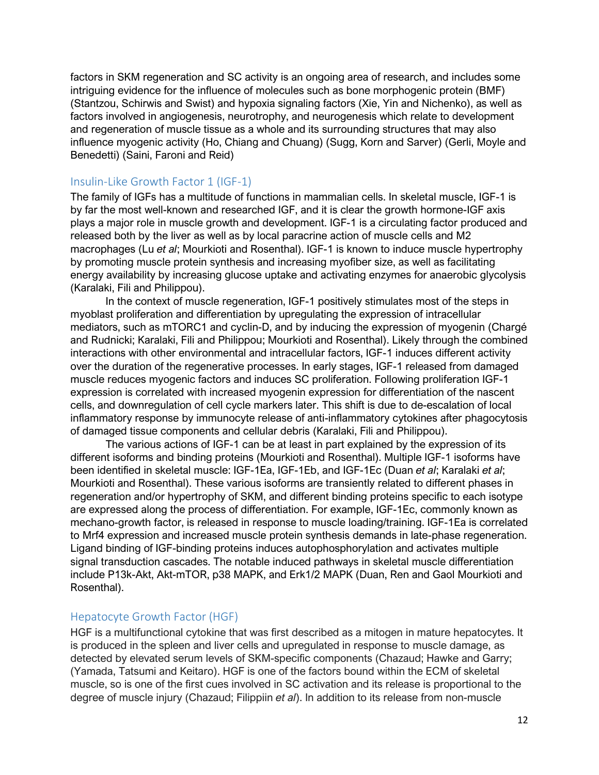factors in SKM regeneration and SC activity is an ongoing area of research, and includes some intriguing evidence for the influence of molecules such as bone morphogenic protein (BMF) (Stantzou, Schirwis and Swist) and hypoxia signaling factors (Xie, Yin and Nichenko), as well as factors involved in angiogenesis, neurotrophy, and neurogenesis which relate to development and regeneration of muscle tissue as a whole and its surrounding structures that may also influence myogenic activity (Ho, Chiang and Chuang) (Sugg, Korn and Sarver) (Gerli, Moyle and Benedetti) (Saini, Faroni and Reid)

#### Insulin-Like Growth Factor 1 (IGF-1)

The family of IGFs has a multitude of functions in mammalian cells. In skeletal muscle, IGF-1 is by far the most well-known and researched IGF, and it is clear the growth hormone-IGF axis plays a major role in muscle growth and development. IGF-1 is a circulating factor produced and released both by the liver as well as by local paracrine action of muscle cells and M2 macrophages (Lu *et al*; Mourkioti and Rosenthal). IGF-1 is known to induce muscle hypertrophy by promoting muscle protein synthesis and increasing myofiber size, as well as facilitating energy availability by increasing glucose uptake and activating enzymes for anaerobic glycolysis (Karalaki, Fili and Philippou).

In the context of muscle regeneration, IGF-1 positively stimulates most of the steps in myoblast proliferation and differentiation by upregulating the expression of intracellular mediators, such as mTORC1 and cyclin-D, and by inducing the expression of myogenin (Chargé and Rudnicki; Karalaki, Fili and Philippou; Mourkioti and Rosenthal). Likely through the combined interactions with other environmental and intracellular factors, IGF-1 induces different activity over the duration of the regenerative processes. In early stages, IGF-1 released from damaged muscle reduces myogenic factors and induces SC proliferation. Following proliferation IGF-1 expression is correlated with increased myogenin expression for differentiation of the nascent cells, and downregulation of cell cycle markers later. This shift is due to de-escalation of local inflammatory response by immunocyte release of anti-inflammatory cytokines after phagocytosis of damaged tissue components and cellular debris (Karalaki, Fili and Philippou).

The various actions of IGF-1 can be at least in part explained by the expression of its different isoforms and binding proteins (Mourkioti and Rosenthal). Multiple IGF-1 isoforms have been identified in skeletal muscle: IGF-1Ea, IGF-1Eb, and IGF-1Ec (Duan *et al*; Karalaki *et al*; Mourkioti and Rosenthal). These various isoforms are transiently related to different phases in regeneration and/or hypertrophy of SKM, and different binding proteins specific to each isotype are expressed along the process of differentiation. For example, IGF-1Ec, commonly known as mechano-growth factor, is released in response to muscle loading/training. IGF-1Ea is correlated to Mrf4 expression and increased muscle protein synthesis demands in late-phase regeneration. Ligand binding of IGF-binding proteins induces autophosphorylation and activates multiple signal transduction cascades. The notable induced pathways in skeletal muscle differentiation include P13k-Akt, Akt-mTOR, p38 MAPK, and Erk1/2 MAPK (Duan, Ren and Gaol Mourkioti and Rosenthal).

#### Hepatocyte Growth Factor (HGF)

HGF is a multifunctional cytokine that was first described as a mitogen in mature hepatocytes. It is produced in the spleen and liver cells and upregulated in response to muscle damage, as detected by elevated serum levels of SKM-specific components (Chazaud; Hawke and Garry; (Yamada, Tatsumi and Keitaro). HGF is one of the factors bound within the ECM of skeletal muscle, so is one of the first cues involved in SC activation and its release is proportional to the degree of muscle injury (Chazaud; Filippiin *et al*). In addition to its release from non-muscle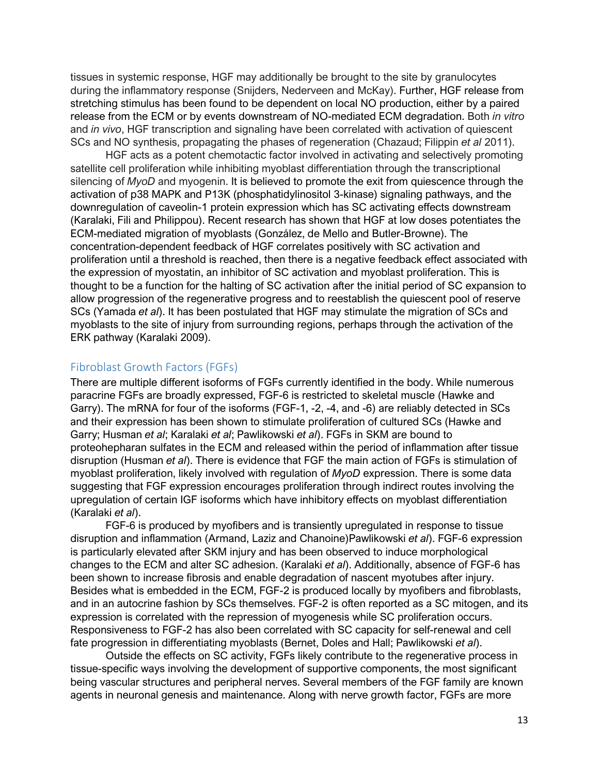tissues in systemic response, HGF may additionally be brought to the site by granulocytes during the inflammatory response (Snijders, Nederveen and McKay). Further, HGF release from stretching stimulus has been found to be dependent on local NO production, either by a paired release from the ECM or by events downstream of NO-mediated ECM degradation. Both *in vitro* and *in vivo*, HGF transcription and signaling have been correlated with activation of quiescent SCs and NO synthesis, propagating the phases of regeneration (Chazaud; Filippin *et al* 2011).

HGF acts as a potent chemotactic factor involved in activating and selectively promoting satellite cell proliferation while inhibiting myoblast differentiation through the transcriptional silencing of *MyoD* and myogenin. It is believed to promote the exit from quiescence through the activation of p38 MAPK and P13K (phosphatidylinositol 3-kinase) signaling pathways, and the downregulation of caveolin-1 protein expression which has SC activating effects downstream (Karalaki, Fili and Philippou). Recent research has shown that HGF at low doses potentiates the ECM-mediated migration of myoblasts (González, de Mello and Butler-Browne). The concentration-dependent feedback of HGF correlates positively with SC activation and proliferation until a threshold is reached, then there is a negative feedback effect associated with the expression of myostatin, an inhibitor of SC activation and myoblast proliferation. This is thought to be a function for the halting of SC activation after the initial period of SC expansion to allow progression of the regenerative progress and to reestablish the quiescent pool of reserve SCs (Yamada *et al*). It has been postulated that HGF may stimulate the migration of SCs and myoblasts to the site of injury from surrounding regions, perhaps through the activation of the ERK pathway (Karalaki 2009).

## Fibroblast Growth Factors (FGFs)

There are multiple different isoforms of FGFs currently identified in the body. While numerous paracrine FGFs are broadly expressed, FGF-6 is restricted to skeletal muscle (Hawke and Garry). The mRNA for four of the isoforms (FGF-1, -2, -4, and -6) are reliably detected in SCs and their expression has been shown to stimulate proliferation of cultured SCs (Hawke and Garry; Husman *et al*; Karalaki *et al*; Pawlikowski *et al*). FGFs in SKM are bound to proteohepharan sulfates in the ECM and released within the period of inflammation after tissue disruption (Husman *et al*). There is evidence that FGF the main action of FGFs is stimulation of myoblast proliferation, likely involved with regulation of *MyoD* expression. There is some data suggesting that FGF expression encourages proliferation through indirect routes involving the upregulation of certain IGF isoforms which have inhibitory effects on myoblast differentiation (Karalaki *et al*).

FGF-6 is produced by myofibers and is transiently upregulated in response to tissue disruption and inflammation (Armand, Laziz and Chanoine)Pawlikowski *et al*). FGF-6 expression is particularly elevated after SKM injury and has been observed to induce morphological changes to the ECM and alter SC adhesion. (Karalaki *et al*). Additionally, absence of FGF-6 has been shown to increase fibrosis and enable degradation of nascent myotubes after injury. Besides what is embedded in the ECM, FGF-2 is produced locally by myofibers and fibroblasts, and in an autocrine fashion by SCs themselves. FGF-2 is often reported as a SC mitogen, and its expression is correlated with the repression of myogenesis while SC proliferation occurs. Responsiveness to FGF-2 has also been correlated with SC capacity for self-renewal and cell fate progression in differentiating myoblasts (Bernet, Doles and Hall; Pawlikowski *et al*).

Outside the effects on SC activity, FGFs likely contribute to the regenerative process in tissue-specific ways involving the development of supportive components, the most significant being vascular structures and peripheral nerves. Several members of the FGF family are known agents in neuronal genesis and maintenance. Along with nerve growth factor, FGFs are more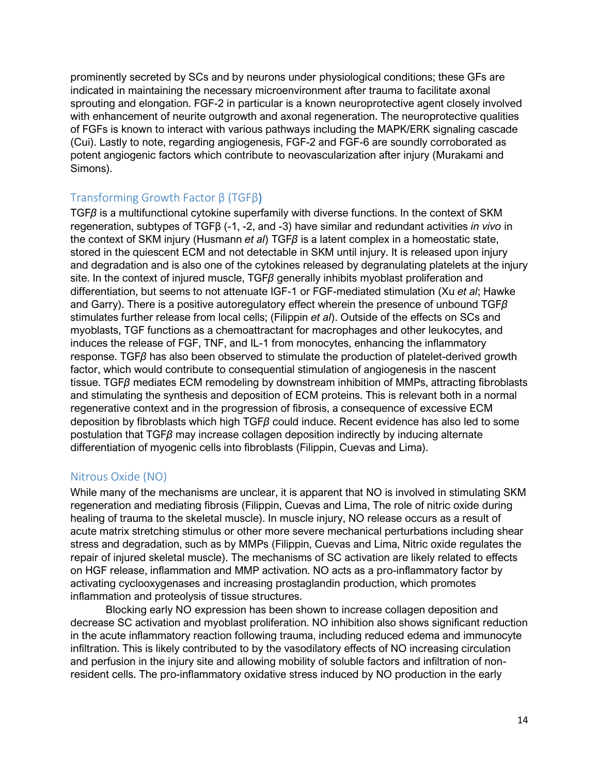prominently secreted by SCs and by neurons under physiological conditions; these GFs are indicated in maintaining the necessary microenvironment after trauma to facilitate axonal sprouting and elongation. FGF-2 in particular is a known neuroprotective agent closely involved with enhancement of neurite outgrowth and axonal regeneration. The neuroprotective qualities of FGFs is known to interact with various pathways including the MAPK/ERK signaling cascade (Cui). Lastly to note, regarding angiogenesis, FGF-2 and FGF-6 are soundly corroborated as potent angiogenic factors which contribute to neovascularization after injury (Murakami and Simons).

## Transforming Growth Factor β (TGFβ)

TGF*β* is a multifunctional cytokine superfamily with diverse functions. In the context of SKM regeneration, subtypes of TGFβ (-1, -2, and -3) have similar and redundant activities *in vivo* in the context of SKM injury (Husmann *et al*) TGF*β* is a latent complex in a homeostatic state, stored in the quiescent ECM and not detectable in SKM until injury. It is released upon injury and degradation and is also one of the cytokines released by degranulating platelets at the injury site. In the context of injured muscle, TGF*β* generally inhibits myoblast proliferation and differentiation, but seems to not attenuate IGF-1 or FGF-mediated stimulation (Xu *et al*; Hawke and Garry). There is a positive autoregulatory effect wherein the presence of unbound TGF*β* stimulates further release from local cells; (Filippin *et al*). Outside of the effects on SCs and myoblasts, TGF functions as a chemoattractant for macrophages and other leukocytes, and induces the release of FGF, TNF, and IL-1 from monocytes, enhancing the inflammatory response. TGF*β* has also been observed to stimulate the production of platelet-derived growth factor, which would contribute to consequential stimulation of angiogenesis in the nascent tissue. TGF*β* mediates ECM remodeling by downstream inhibition of MMPs, attracting fibroblasts and stimulating the synthesis and deposition of ECM proteins. This is relevant both in a normal regenerative context and in the progression of fibrosis, a consequence of excessive ECM deposition by fibroblasts which high TGF*β* could induce. Recent evidence has also led to some postulation that TGF*β* may increase collagen deposition indirectly by inducing alternate differentiation of myogenic cells into fibroblasts (Filippin, Cuevas and Lima).

## Nitrous Oxide (NO)

While many of the mechanisms are unclear, it is apparent that NO is involved in stimulating SKM regeneration and mediating fibrosis (Filippin, Cuevas and Lima, The role of nitric oxide during healing of trauma to the skeletal muscle). In muscle injury, NO release occurs as a result of acute matrix stretching stimulus or other more severe mechanical perturbations including shear stress and degradation, such as by MMPs (Filippin, Cuevas and Lima, Nitric oxide regulates the repair of injured skeletal muscle). The mechanisms of SC activation are likely related to effects on HGF release, inflammation and MMP activation. NO acts as a pro-inflammatory factor by activating cyclooxygenases and increasing prostaglandin production, which promotes inflammation and proteolysis of tissue structures.

Blocking early NO expression has been shown to increase collagen deposition and decrease SC activation and myoblast proliferation. NO inhibition also shows significant reduction in the acute inflammatory reaction following trauma, including reduced edema and immunocyte infiltration. This is likely contributed to by the vasodilatory effects of NO increasing circulation and perfusion in the injury site and allowing mobility of soluble factors and infiltration of nonresident cells. The pro-inflammatory oxidative stress induced by NO production in the early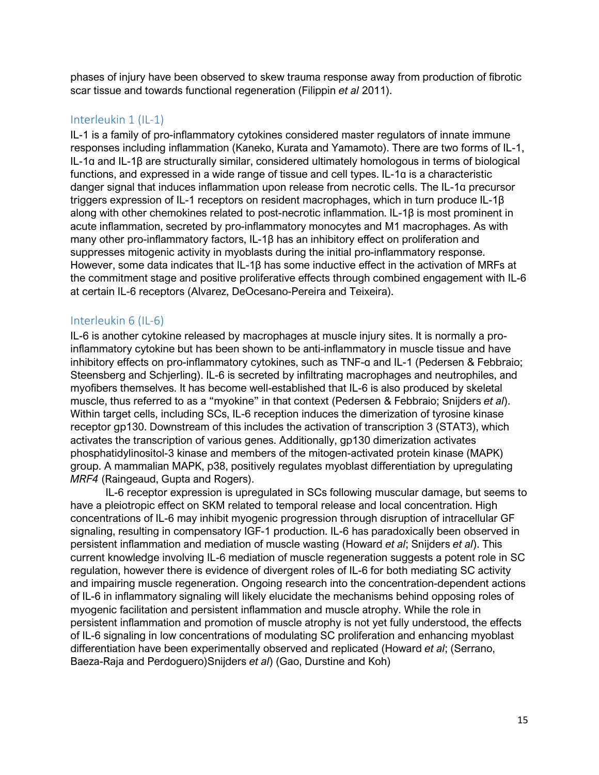phases of injury have been observed to skew trauma response away from production of fibrotic scar tissue and towards functional regeneration (Filippin *et al* 2011).

## Interleukin 1 (IL-1)

IL-1 is a family of pro-inflammatory cytokines considered master regulators of innate immune responses including inflammation (Kaneko, Kurata and Yamamoto). There are two forms of IL-1, IL-1ɑ and IL-1β are structurally similar, considered ultimately homologous in terms of biological functions, and expressed in a wide range of tissue and cell types. IL-1ɑ is a characteristic danger signal that induces inflammation upon release from necrotic cells. The IL-1ɑ precursor triggers expression of IL-1 receptors on resident macrophages, which in turn produce IL-1β along with other chemokines related to post-necrotic inflammation. IL-1β is most prominent in acute inflammation, secreted by pro-inflammatory monocytes and M1 macrophages. As with many other pro-inflammatory factors, IL-1β has an inhibitory effect on proliferation and suppresses mitogenic activity in myoblasts during the initial pro-inflammatory response. However, some data indicates that IL-1β has some inductive effect in the activation of MRFs at the commitment stage and positive proliferative effects through combined engagement with IL-6 at certain IL-6 receptors (Alvarez, DeOcesano-Pereira and Teixeira).

## Interleukin 6 (IL-6)

IL-6 is another cytokine released by macrophages at muscle injury sites. It is normally a proinflammatory cytokine but has been shown to be anti-inflammatory in muscle tissue and have inhibitory effects on pro-inflammatory cytokines, such as TNF-ɑ and IL-1 (Pedersen & Febbraio; Steensberg and Schjerling). IL-6 is secreted by infiltrating macrophages and neutrophiles, and myofibers themselves. It has become well-established that IL-6 is also produced by skeletal muscle, thus referred to as a "myokine" in that context (Pedersen & Febbraio; Snijders *et al*). Within target cells, including SCs, IL-6 reception induces the dimerization of tyrosine kinase receptor gp130. Downstream of this includes the activation of transcription 3 (STAT3), which activates the transcription of various genes. Additionally, gp130 dimerization activates phosphatidylinositol-3 kinase and members of the mitogen-activated protein kinase (MAPK) group. A mammalian MAPK, p38, positively regulates myoblast differentiation by upregulating *MRF4* (Raingeaud, Gupta and Rogers).

IL-6 receptor expression is upregulated in SCs following muscular damage, but seems to have a pleiotropic effect on SKM related to temporal release and local concentration. High concentrations of IL-6 may inhibit myogenic progression through disruption of intracellular GF signaling, resulting in compensatory IGF-1 production. IL-6 has paradoxically been observed in persistent inflammation and mediation of muscle wasting (Howard *et al*; Snijders *et al*). This current knowledge involving IL-6 mediation of muscle regeneration suggests a potent role in SC regulation, however there is evidence of divergent roles of IL-6 for both mediating SC activity and impairing muscle regeneration. Ongoing research into the concentration-dependent actions of IL-6 in inflammatory signaling will likely elucidate the mechanisms behind opposing roles of myogenic facilitation and persistent inflammation and muscle atrophy. While the role in persistent inflammation and promotion of muscle atrophy is not yet fully understood, the effects of IL-6 signaling in low concentrations of modulating SC proliferation and enhancing myoblast differentiation have been experimentally observed and replicated (Howard *et al*; (Serrano, Baeza-Raja and Perdoguero)Snijders *et al*) (Gao, Durstine and Koh)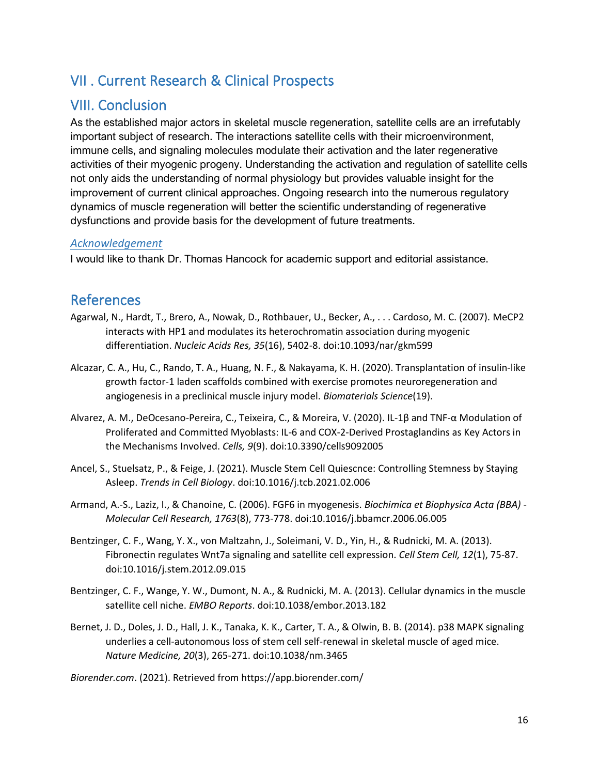# VII . Current Research & Clinical Prospects

## VIII. Conclusion

As the established major actors in skeletal muscle regeneration, satellite cells are an irrefutably important subject of research. The interactions satellite cells with their microenvironment, immune cells, and signaling molecules modulate their activation and the later regenerative activities of their myogenic progeny. Understanding the activation and regulation of satellite cells not only aids the understanding of normal physiology but provides valuable insight for the improvement of current clinical approaches. Ongoing research into the numerous regulatory dynamics of muscle regeneration will better the scientific understanding of regenerative dysfunctions and provide basis for the development of future treatments.

## *Acknowledgement*

I would like to thank Dr. Thomas Hancock for academic support and editorial assistance.

## **References**

- Agarwal, N., Hardt, T., Brero, A., Nowak, D., Rothbauer, U., Becker, A., . . . Cardoso, M. C. (2007). MeCP2 interacts with HP1 and modulates its heterochromatin association during myogenic differentiation. *Nucleic Acids Res, 35*(16), 5402-8. doi:10.1093/nar/gkm599
- Alcazar, C. A., Hu, C., Rando, T. A., Huang, N. F., & Nakayama, K. H. (2020). Transplantation of insulin-like growth factor-1 laden scaffolds combined with exercise promotes neuroregeneration and angiogenesis in a preclinical muscle injury model. *Biomaterials Science*(19).
- Alvarez, A. M., DeOcesano-Pereira, C., Teixeira, C., & Moreira, V. (2020). IL-1β and TNF-α Modulation of Proliferated and Committed Myoblasts: IL-6 and COX-2-Derived Prostaglandins as Key Actors in the Mechanisms Involved. *Cells, 9*(9). doi:10.3390/cells9092005
- Ancel, S., Stuelsatz, P., & Feige, J. (2021). Muscle Stem Cell Quiescnce: Controlling Stemness by Staying Asleep. *Trends in Cell Biology*. doi:10.1016/j.tcb.2021.02.006
- Armand, A.-S., Laziz, I., & Chanoine, C. (2006). FGF6 in myogenesis. *Biochimica et Biophysica Acta (BBA) - Molecular Cell Research, 1763*(8), 773-778. doi:10.1016/j.bbamcr.2006.06.005
- Bentzinger, C. F., Wang, Y. X., von Maltzahn, J., Soleimani, V. D., Yin, H., & Rudnicki, M. A. (2013). Fibronectin regulates Wnt7a signaling and satellite cell expression. *Cell Stem Cell, 12*(1), 75-87. doi:10.1016/j.stem.2012.09.015
- Bentzinger, C. F., Wange, Y. W., Dumont, N. A., & Rudnicki, M. A. (2013). Cellular dynamics in the muscle satellite cell niche. *EMBO Reports*. doi:10.1038/embor.2013.182
- Bernet, J. D., Doles, J. D., Hall, J. K., Tanaka, K. K., Carter, T. A., & Olwin, B. B. (2014). p38 MAPK signaling underlies a cell-autonomous loss of stem cell self-renewal in skeletal muscle of aged mice. *Nature Medicine, 20*(3), 265-271. doi:10.1038/nm.3465

*Biorender.com*. (2021). Retrieved from https://app.biorender.com/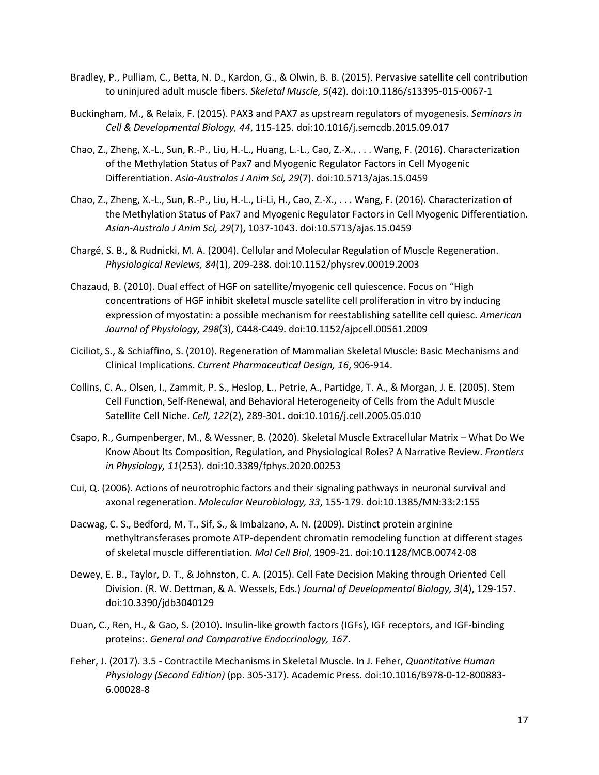- Bradley, P., Pulliam, C., Betta, N. D., Kardon, G., & Olwin, B. B. (2015). Pervasive satellite cell contribution to uninjured adult muscle fibers. *Skeletal Muscle, 5*(42). doi:10.1186/s13395-015-0067-1
- Buckingham, M., & Relaix, F. (2015). PAX3 and PAX7 as upstream regulators of myogenesis. *Seminars in Cell & Developmental Biology, 44*, 115-125. doi:10.1016/j.semcdb.2015.09.017
- Chao, Z., Zheng, X.-L., Sun, R.-P., Liu, H.-L., Huang, L.-L., Cao, Z.-X., . . . Wang, F. (2016). Characterization of the Methylation Status of Pax7 and Myogenic Regulator Factors in Cell Myogenic Differentiation. *Asia-Australas J Anim Sci, 29*(7). doi:10.5713/ajas.15.0459
- Chao, Z., Zheng, X.-L., Sun, R.-P., Liu, H.-L., Li-Li, H., Cao, Z.-X., . . . Wang, F. (2016). Characterization of the Methylation Status of Pax7 and Myogenic Regulator Factors in Cell Myogenic Differentiation. *Asian-Australa J Anim Sci, 29*(7), 1037-1043. doi:10.5713/ajas.15.0459
- Chargé, S. B., & Rudnicki, M. A. (2004). Cellular and Molecular Regulation of Muscle Regeneration. *Physiological Reviews, 84*(1), 209-238. doi:10.1152/physrev.00019.2003
- Chazaud, B. (2010). Dual effect of HGF on satellite/myogenic cell quiescence. Focus on "High concentrations of HGF inhibit skeletal muscle satellite cell proliferation in vitro by inducing expression of myostatin: a possible mechanism for reestablishing satellite cell quiesc. *American Journal of Physiology, 298*(3), C448-C449. doi:10.1152/ajpcell.00561.2009
- Ciciliot, S., & Schiaffino, S. (2010). Regeneration of Mammalian Skeletal Muscle: Basic Mechanisms and Clinical Implications. *Current Pharmaceutical Design, 16*, 906-914.
- Collins, C. A., Olsen, I., Zammit, P. S., Heslop, L., Petrie, A., Partidge, T. A., & Morgan, J. E. (2005). Stem Cell Function, Self-Renewal, and Behavioral Heterogeneity of Cells from the Adult Muscle Satellite Cell Niche. *Cell, 122*(2), 289-301. doi:10.1016/j.cell.2005.05.010
- Csapo, R., Gumpenberger, M., & Wessner, B. (2020). Skeletal Muscle Extracellular Matrix What Do We Know About Its Composition, Regulation, and Physiological Roles? A Narrative Review. *Frontiers in Physiology, 11*(253). doi:10.3389/fphys.2020.00253
- Cui, Q. (2006). Actions of neurotrophic factors and their signaling pathways in neuronal survival and axonal regeneration. *Molecular Neurobiology, 33*, 155-179. doi:10.1385/MN:33:2:155
- Dacwag, C. S., Bedford, M. T., Sif, S., & Imbalzano, A. N. (2009). Distinct protein arginine methyltransferases promote ATP-dependent chromatin remodeling function at different stages of skeletal muscle differentiation. *Mol Cell Biol*, 1909-21. doi:10.1128/MCB.00742-08
- Dewey, E. B., Taylor, D. T., & Johnston, C. A. (2015). Cell Fate Decision Making through Oriented Cell Division. (R. W. Dettman, & A. Wessels, Eds.) *Journal of Developmental Biology, 3*(4), 129-157. doi:10.3390/jdb3040129
- Duan, C., Ren, H., & Gao, S. (2010). Insulin-like growth factors (IGFs), IGF receptors, and IGF-binding proteins:. *General and Comparative Endocrinology, 167*.
- Feher, J. (2017). 3.5 Contractile Mechanisms in Skeletal Muscle. In J. Feher, *Quantitative Human Physiology (Second Edition)* (pp. 305-317). Academic Press. doi:10.1016/B978-0-12-800883- 6.00028-8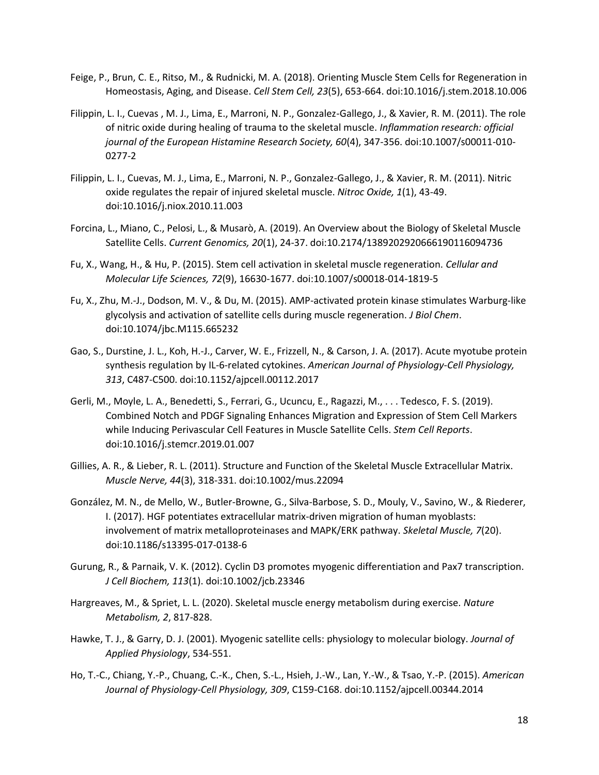- Feige, P., Brun, C. E., Ritso, M., & Rudnicki, M. A. (2018). Orienting Muscle Stem Cells for Regeneration in Homeostasis, Aging, and Disease. *Cell Stem Cell, 23*(5), 653-664. doi:10.1016/j.stem.2018.10.006
- Filippin, L. I., Cuevas , M. J., Lima, E., Marroni, N. P., Gonzalez-Gallego, J., & Xavier, R. M. (2011). The role of nitric oxide during healing of trauma to the skeletal muscle. *Inflammation research: official journal of the European Histamine Research Society, 60*(4), 347-356. doi:10.1007/s00011-010- 0277-2
- Filippin, L. I., Cuevas, M. J., Lima, E., Marroni, N. P., Gonzalez-Gallego, J., & Xavier, R. M. (2011). Nitric oxide regulates the repair of injured skeletal muscle. *Nitroc Oxide, 1*(1), 43-49. doi:10.1016/j.niox.2010.11.003
- Forcina, L., Miano, C., Pelosi, L., & Musarò, A. (2019). An Overview about the Biology of Skeletal Muscle Satellite Cells. *Current Genomics, 20*(1), 24-37. doi:10.2174/1389202920666190116094736
- Fu, X., Wang, H., & Hu, P. (2015). Stem cell activation in skeletal muscle regeneration. *Cellular and Molecular Life Sciences, 72*(9), 16630-1677. doi:10.1007/s00018-014-1819-5
- Fu, X., Zhu, M.-J., Dodson, M. V., & Du, M. (2015). AMP-activated protein kinase stimulates Warburg-like glycolysis and activation of satellite cells during muscle regeneration. *J Biol Chem*. doi:10.1074/jbc.M115.665232
- Gao, S., Durstine, J. L., Koh, H.-J., Carver, W. E., Frizzell, N., & Carson, J. A. (2017). Acute myotube protein synthesis regulation by IL-6-related cytokines. *American Journal of Physiology-Cell Physiology, 313*, C487-C500. doi:10.1152/ajpcell.00112.2017
- Gerli, M., Moyle, L. A., Benedetti, S., Ferrari, G., Ucuncu, E., Ragazzi, M., . . . Tedesco, F. S. (2019). Combined Notch and PDGF Signaling Enhances Migration and Expression of Stem Cell Markers while Inducing Perivascular Cell Features in Muscle Satellite Cells. *Stem Cell Reports*. doi:10.1016/j.stemcr.2019.01.007
- Gillies, A. R., & Lieber, R. L. (2011). Structure and Function of the Skeletal Muscle Extracellular Matrix. *Muscle Nerve, 44*(3), 318-331. doi:10.1002/mus.22094
- González, M. N., de Mello, W., Butler-Browne, G., Silva-Barbose, S. D., Mouly, V., Savino, W., & Riederer, I. (2017). HGF potentiates extracellular matrix-driven migration of human myoblasts: involvement of matrix metalloproteinases and MAPK/ERK pathway. *Skeletal Muscle, 7*(20). doi:10.1186/s13395-017-0138-6
- Gurung, R., & Parnaik, V. K. (2012). Cyclin D3 promotes myogenic differentiation and Pax7 transcription. *J Cell Biochem, 113*(1). doi:10.1002/jcb.23346
- Hargreaves, M., & Spriet, L. L. (2020). Skeletal muscle energy metabolism during exercise. *Nature Metabolism, 2*, 817-828.
- Hawke, T. J., & Garry, D. J. (2001). Myogenic satellite cells: physiology to molecular biology. *Journal of Applied Physiology*, 534-551.
- Ho, T.-C., Chiang, Y.-P., Chuang, C.-K., Chen, S.-L., Hsieh, J.-W., Lan, Y.-W., & Tsao, Y.-P. (2015). *American Journal of Physiology-Cell Physiology, 309*, C159-C168. doi:10.1152/ajpcell.00344.2014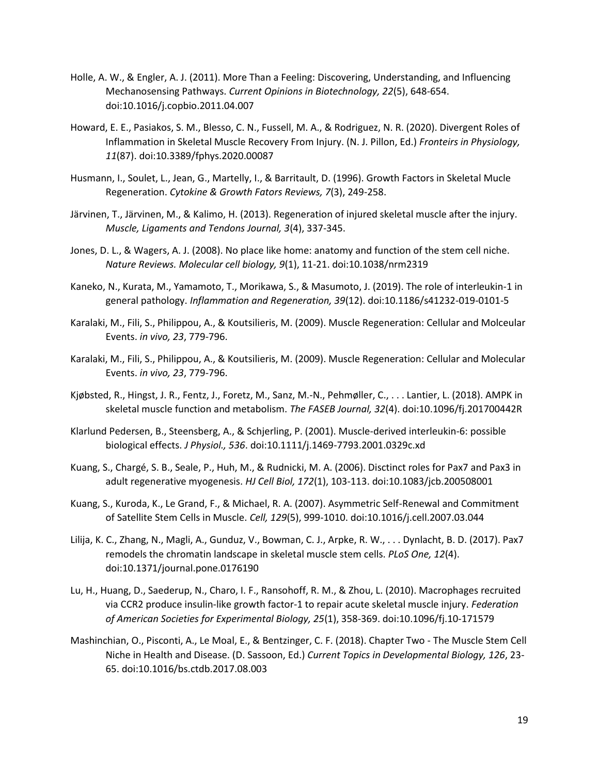- Holle, A. W., & Engler, A. J. (2011). More Than a Feeling: Discovering, Understanding, and Influencing Mechanosensing Pathways. *Current Opinions in Biotechnology, 22*(5), 648-654. doi:10.1016/j.copbio.2011.04.007
- Howard, E. E., Pasiakos, S. M., Blesso, C. N., Fussell, M. A., & Rodriguez, N. R. (2020). Divergent Roles of Inflammation in Skeletal Muscle Recovery From Injury. (N. J. Pillon, Ed.) *Fronteirs in Physiology, 11*(87). doi:10.3389/fphys.2020.00087
- Husmann, I., Soulet, L., Jean, G., Martelly, I., & Barritault, D. (1996). Growth Factors in Skeletal Mucle Regeneration. *Cytokine & Growth Fators Reviews, 7*(3), 249-258.
- Järvinen, T., Järvinen, M., & Kalimo, H. (2013). Regeneration of injured skeletal muscle after the injury. *Muscle, Ligaments and Tendons Journal, 3*(4), 337-345.
- Jones, D. L., & Wagers, A. J. (2008). No place like home: anatomy and function of the stem cell niche. *Nature Reviews. Molecular cell biology, 9*(1), 11-21. doi:10.1038/nrm2319
- Kaneko, N., Kurata, M., Yamamoto, T., Morikawa, S., & Masumoto, J. (2019). The role of interleukin-1 in general pathology. *Inflammation and Regeneration, 39*(12). doi:10.1186/s41232-019-0101-5
- Karalaki, M., Fili, S., Philippou, A., & Koutsilieris, M. (2009). Muscle Regeneration: Cellular and Molceular Events. *in vivo, 23*, 779-796.
- Karalaki, M., Fili, S., Philippou, A., & Koutsilieris, M. (2009). Muscle Regeneration: Cellular and Molecular Events. *in vivo, 23*, 779-796.
- Kjøbsted, R., Hingst, J. R., Fentz, J., Foretz, M., Sanz, M.-N., Pehmøller, C., . . . Lantier, L. (2018). AMPK in skeletal muscle function and metabolism. *The FASEB Journal, 32*(4). doi:10.1096/fj.201700442R
- Klarlund Pedersen, B., Steensberg, A., & Schjerling, P. (2001). Muscle-derived interleukin-6: possible biological effects. *J Physiol., 536*. doi:10.1111/j.1469-7793.2001.0329c.xd
- Kuang, S., Chargé, S. B., Seale, P., Huh, M., & Rudnicki, M. A. (2006). Disctinct roles for Pax7 and Pax3 in adult regenerative myogenesis. *HJ Cell Biol, 172*(1), 103-113. doi:10.1083/jcb.200508001
- Kuang, S., Kuroda, K., Le Grand, F., & Michael, R. A. (2007). Asymmetric Self-Renewal and Commitment of Satellite Stem Cells in Muscle. *Cell, 129*(5), 999-1010. doi:10.1016/j.cell.2007.03.044
- Lilija, K. C., Zhang, N., Magli, A., Gunduz, V., Bowman, C. J., Arpke, R. W., . . . Dynlacht, B. D. (2017). Pax7 remodels the chromatin landscape in skeletal muscle stem cells. *PLoS One, 12*(4). doi:10.1371/journal.pone.0176190
- Lu, H., Huang, D., Saederup, N., Charo, I. F., Ransohoff, R. M., & Zhou, L. (2010). Macrophages recruited via CCR2 produce insulin‐like growth factor‐1 to repair acute skeletal muscle injury. *Federation of American Societies for Experimental Biology, 25*(1), 358-369. doi:10.1096/fj.10-171579
- Mashinchian, O., Pisconti, A., Le Moal, E., & Bentzinger, C. F. (2018). Chapter Two The Muscle Stem Cell Niche in Health and Disease. (D. Sassoon, Ed.) *Current Topics in Developmental Biology, 126*, 23- 65. doi:10.1016/bs.ctdb.2017.08.003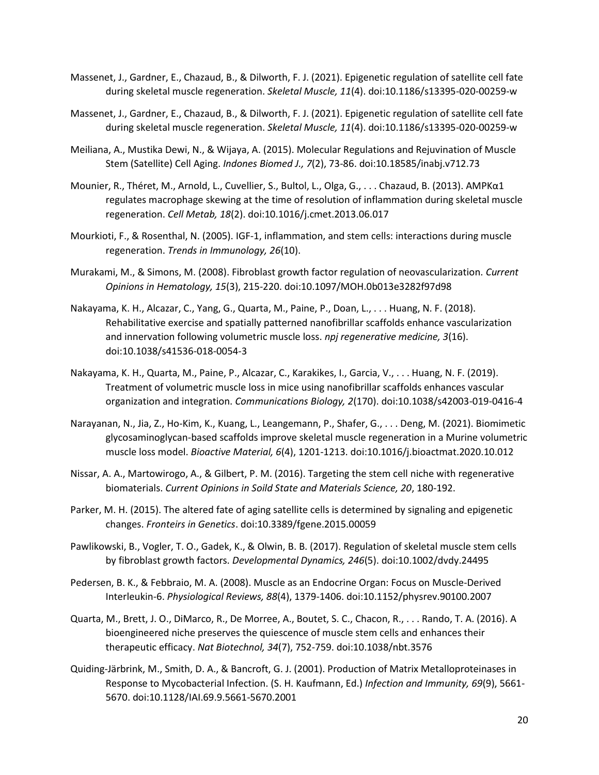- Massenet, J., Gardner, E., Chazaud, B., & Dilworth, F. J. (2021). Epigenetic regulation of satellite cell fate during skeletal muscle regeneration. *Skeletal Muscle, 11*(4). doi:10.1186/s13395-020-00259-w
- Massenet, J., Gardner, E., Chazaud, B., & Dilworth, F. J. (2021). Epigenetic regulation of satellite cell fate during skeletal muscle regeneration. *Skeletal Muscle, 11*(4). doi:10.1186/s13395-020-00259-w
- Meiliana, A., Mustika Dewi, N., & Wijaya, A. (2015). Molecular Regulations and Rejuvination of Muscle Stem (Satellite) Cell Aging. *Indones Biomed J., 7*(2), 73-86. doi:10.18585/inabj.v712.73
- Mounier, R., Théret, M., Arnold, L., Cuvellier, S., Bultol, L., Olga, G., . . . Chazaud, B. (2013). AMPKα1 regulates macrophage skewing at the time of resolution of inflammation during skeletal muscle regeneration. *Cell Metab, 18*(2). doi:10.1016/j.cmet.2013.06.017
- Mourkioti, F., & Rosenthal, N. (2005). IGF-1, inflammation, and stem cells: interactions during muscle regeneration. *Trends in Immunology, 26*(10).
- Murakami, M., & Simons, M. (2008). Fibroblast growth factor regulation of neovascularization. *Current Opinions in Hematology, 15*(3), 215-220. doi:10.1097/MOH.0b013e3282f97d98
- Nakayama, K. H., Alcazar, C., Yang, G., Quarta, M., Paine, P., Doan, L., . . . Huang, N. F. (2018). Rehabilitative exercise and spatially patterned nanofibrillar scaffolds enhance vascularization and innervation following volumetric muscle loss. *npj regenerative medicine, 3*(16). doi:10.1038/s41536-018-0054-3
- Nakayama, K. H., Quarta, M., Paine, P., Alcazar, C., Karakikes, I., Garcia, V., . . . Huang, N. F. (2019). Treatment of volumetric muscle loss in mice using nanofibrillar scaffolds enhances vascular organization and integration. *Communications Biology, 2*(170). doi:10.1038/s42003-019-0416-4
- Narayanan, N., Jia, Z., Ho-Kim, K., Kuang, L., Leangemann, P., Shafer, G., . . . Deng, M. (2021). Biomimetic glycosaminoglycan-based scaffolds improve skeletal muscle regeneration in a Murine volumetric muscle loss model. *Bioactive Material, 6*(4), 1201-1213. doi:10.1016/j.bioactmat.2020.10.012
- Nissar, A. A., Martowirogo, A., & Gilbert, P. M. (2016). Targeting the stem cell niche with regenerative biomaterials. *Current Opinions in Soild State and Materials Science, 20*, 180-192.
- Parker, M. H. (2015). The altered fate of aging satellite cells is determined by signaling and epigenetic changes. *Fronteirs in Genetics*. doi:10.3389/fgene.2015.00059
- Pawlikowski, B., Vogler, T. O., Gadek, K., & Olwin, B. B. (2017). Regulation of skeletal muscle stem cells by fibroblast growth factors. *Developmental Dynamics, 246*(5). doi:10.1002/dvdy.24495
- Pedersen, B. K., & Febbraio, M. A. (2008). Muscle as an Endocrine Organ: Focus on Muscle-Derived Interleukin-6. *Physiological Reviews, 88*(4), 1379-1406. doi:10.1152/physrev.90100.2007
- Quarta, M., Brett, J. O., DiMarco, R., De Morree, A., Boutet, S. C., Chacon, R., . . . Rando, T. A. (2016). A bioengineered niche preserves the quiescence of muscle stem cells and enhances their therapeutic efficacy. *Nat Biotechnol, 34*(7), 752-759. doi:10.1038/nbt.3576
- Quiding-Järbrink, M., Smith, D. A., & Bancroft, G. J. (2001). Production of Matrix Metalloproteinases in Response to Mycobacterial Infection. (S. H. Kaufmann, Ed.) *Infection and Immunity, 69*(9), 5661- 5670. doi:10.1128/IAI.69.9.5661-5670.2001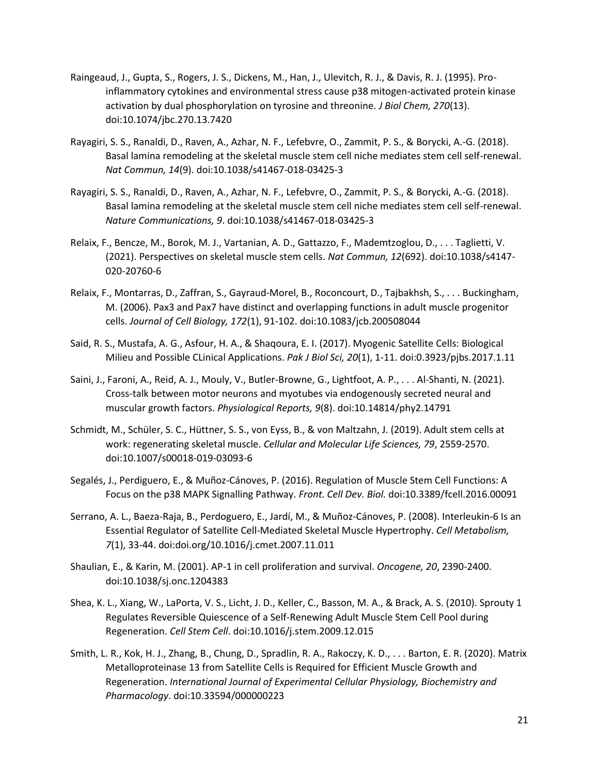- Raingeaud, J., Gupta, S., Rogers, J. S., Dickens, M., Han, J., Ulevitch, R. J., & Davis, R. J. (1995). Proinflammatory cytokines and environmental stress cause p38 mitogen-activated protein kinase activation by dual phosphorylation on tyrosine and threonine. *J Biol Chem, 270*(13). doi:10.1074/jbc.270.13.7420
- Rayagiri, S. S., Ranaldi, D., Raven, A., Azhar, N. F., Lefebvre, O., Zammit, P. S., & Borycki, A.-G. (2018). Basal lamina remodeling at the skeletal muscle stem cell niche mediates stem cell self-renewal. *Nat Commun, 14*(9). doi:10.1038/s41467-018-03425-3
- Rayagiri, S. S., Ranaldi, D., Raven, A., Azhar, N. F., Lefebvre, O., Zammit, P. S., & Borycki, A.-G. (2018). Basal lamina remodeling at the skeletal muscle stem cell niche mediates stem cell self-renewal. *Nature Communications, 9*. doi:10.1038/s41467-018-03425-3
- Relaix, F., Bencze, M., Borok, M. J., Vartanian, A. D., Gattazzo, F., Mademtzoglou, D., . . . Taglietti, V. (2021). Perspectives on skeletal muscle stem cells. *Nat Commun, 12*(692). doi:10.1038/s4147- 020-20760-6
- Relaix, F., Montarras, D., Zaffran, S., Gayraud-Morel, B., Roconcourt, D., Tajbakhsh, S., . . . Buckingham, M. (2006). Pax3 and Pax7 have distinct and overlapping functions in adult muscle progenitor cells. *Journal of Cell Biology, 172*(1), 91-102. doi:10.1083/jcb.200508044
- Said, R. S., Mustafa, A. G., Asfour, H. A., & Shaqoura, E. I. (2017). Myogenic Satellite Cells: Biological Milieu and Possible CLinical Applications. *Pak J Biol Sci, 20*(1), 1-11. doi:0.3923/pjbs.2017.1.11
- Saini, J., Faroni, A., Reid, A. J., Mouly, V., Butler-Browne, G., Lightfoot, A. P., . . . Al-Shanti, N. (2021). Cross‐talk between motor neurons and myotubes via endogenously secreted neural and muscular growth factors. *Physiological Reports, 9*(8). doi:10.14814/phy2.14791
- Schmidt, M., Schüler, S. C., Hüttner, S. S., von Eyss, B., & von Maltzahn, J. (2019). Adult stem cells at work: regenerating skeletal muscle. *Cellular and Molecular Life Sciences, 79*, 2559-2570. doi:10.1007/s00018-019-03093-6
- Segalés, J., Perdiguero, E., & Muñoz-Cánoves, P. (2016). Regulation of Muscle Stem Cell Functions: A Focus on the p38 MAPK Signalling Pathway. *Front. Cell Dev. Biol.* doi:10.3389/fcell.2016.00091
- Serrano, A. L., Baeza-Raja, B., Perdoguero, E., Jardí, M., & Muñoz-Cánoves, P. (2008). Interleukin-6 Is an Essential Regulator of Satellite Cell-Mediated Skeletal Muscle Hypertrophy. *Cell Metabolism, 7*(1), 33-44. doi:doi.org/10.1016/j.cmet.2007.11.011
- Shaulian, E., & Karin, M. (2001). AP-1 in cell proliferation and survival. *Oncogene, 20*, 2390-2400. doi:10.1038/sj.onc.1204383
- Shea, K. L., Xiang, W., LaPorta, V. S., Licht, J. D., Keller, C., Basson, M. A., & Brack, A. S. (2010). Sprouty 1 Regulates Reversible Quiescence of a Self-Renewing Adult Muscle Stem Cell Pool during Regeneration. *Cell Stem Cell*. doi:10.1016/j.stem.2009.12.015
- Smith, L. R., Kok, H. J., Zhang, B., Chung, D., Spradlin, R. A., Rakoczy, K. D., . . . Barton, E. R. (2020). Matrix Metalloproteinase 13 from Satellite Cells is Required for Efficient Muscle Growth and Regeneration. *International Journal of Experimental Cellular Physiology, Biochemistry and Pharmacology*. doi:10.33594/000000223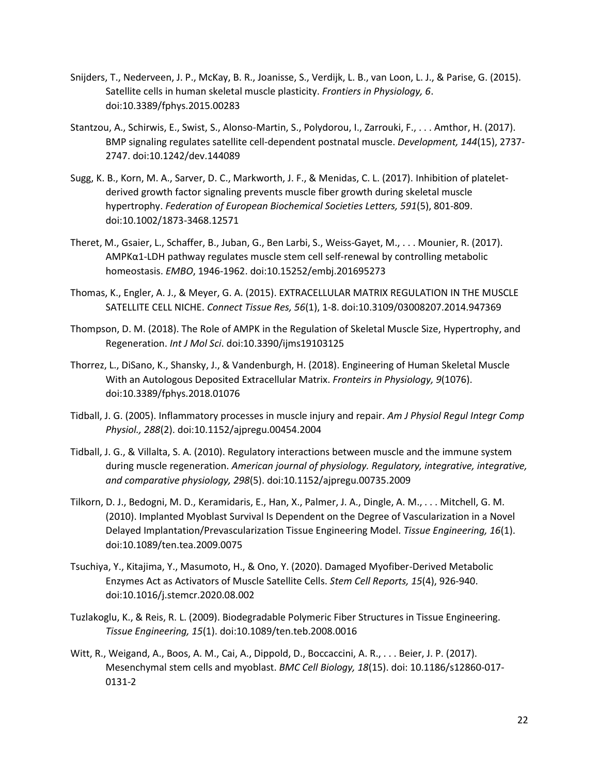- Snijders, T., Nederveen, J. P., McKay, B. R., Joanisse, S., Verdijk, L. B., van Loon, L. J., & Parise, G. (2015). Satellite cells in human skeletal muscle plasticity. *Frontiers in Physiology, 6*. doi:10.3389/fphys.2015.00283
- Stantzou, A., Schirwis, E., Swist, S., Alonso-Martin, S., Polydorou, I., Zarrouki, F., . . . Amthor, H. (2017). BMP signaling regulates satellite cell-dependent postnatal muscle. *Development, 144*(15), 2737- 2747. doi:10.1242/dev.144089
- Sugg, K. B., Korn, M. A., Sarver, D. C., Markworth, J. F., & Menidas, C. L. (2017). Inhibition of plateletderived growth factor signaling prevents muscle fiber growth during skeletal muscle hypertrophy. *Federation of European Biochemical Societies Letters, 591*(5), 801-809. doi:10.1002/1873-3468.12571
- Theret, M., Gsaier, L., Schaffer, B., Juban, G., Ben Larbi, S., Weiss-Gayet, M., . . . Mounier, R. (2017). AMPKα1-LDH pathway regulates muscle stem cell self-renewal by controlling metabolic homeostasis. *EMBO*, 1946-1962. doi:10.15252/embj.201695273
- Thomas, K., Engler, A. J., & Meyer, G. A. (2015). EXTRACELLULAR MATRIX REGULATION IN THE MUSCLE SATELLITE CELL NICHE. *Connect Tissue Res, 56*(1), 1-8. doi:10.3109/03008207.2014.947369
- Thompson, D. M. (2018). The Role of AMPK in the Regulation of Skeletal Muscle Size, Hypertrophy, and Regeneration. *Int J Mol Sci*. doi:10.3390/ijms19103125
- Thorrez, L., DiSano, K., Shansky, J., & Vandenburgh, H. (2018). Engineering of Human Skeletal Muscle With an Autologous Deposited Extracellular Matrix. *Fronteirs in Physiology, 9*(1076). doi:10.3389/fphys.2018.01076
- Tidball, J. G. (2005). Inflammatory processes in muscle injury and repair. *Am J Physiol Regul Integr Comp Physiol., 288*(2). doi:10.1152/ajpregu.00454.2004
- Tidball, J. G., & Villalta, S. A. (2010). Regulatory interactions between muscle and the immune system during muscle regeneration. *American journal of physiology. Regulatory, integrative, integrative, and comparative physiology, 298*(5). doi:10.1152/ajpregu.00735.2009
- Tilkorn, D. J., Bedogni, M. D., Keramidaris, E., Han, X., Palmer, J. A., Dingle, A. M., . . . Mitchell, G. M. (2010). Implanted Myoblast Survival Is Dependent on the Degree of Vascularization in a Novel Delayed Implantation/Prevascularization Tissue Engineering Model. *Tissue Engineering, 16*(1). doi:10.1089/ten.tea.2009.0075
- Tsuchiya, Y., Kitajima, Y., Masumoto, H., & Ono, Y. (2020). Damaged Myofiber-Derived Metabolic Enzymes Act as Activators of Muscle Satellite Cells. *Stem Cell Reports, 15*(4), 926-940. doi:10.1016/j.stemcr.2020.08.002
- Tuzlakoglu, K., & Reis, R. L. (2009). Biodegradable Polymeric Fiber Structures in Tissue Engineering. *Tissue Engineering, 15*(1). doi:10.1089/ten.teb.2008.0016
- Witt, R., Weigand, A., Boos, A. M., Cai, A., Dippold, D., Boccaccini, A. R., . . . Beier, J. P. (2017). Mesenchymal stem cells and myoblast. *BMC Cell Biology, 18*(15). doi: 10.1186/s12860-017- 0131-2